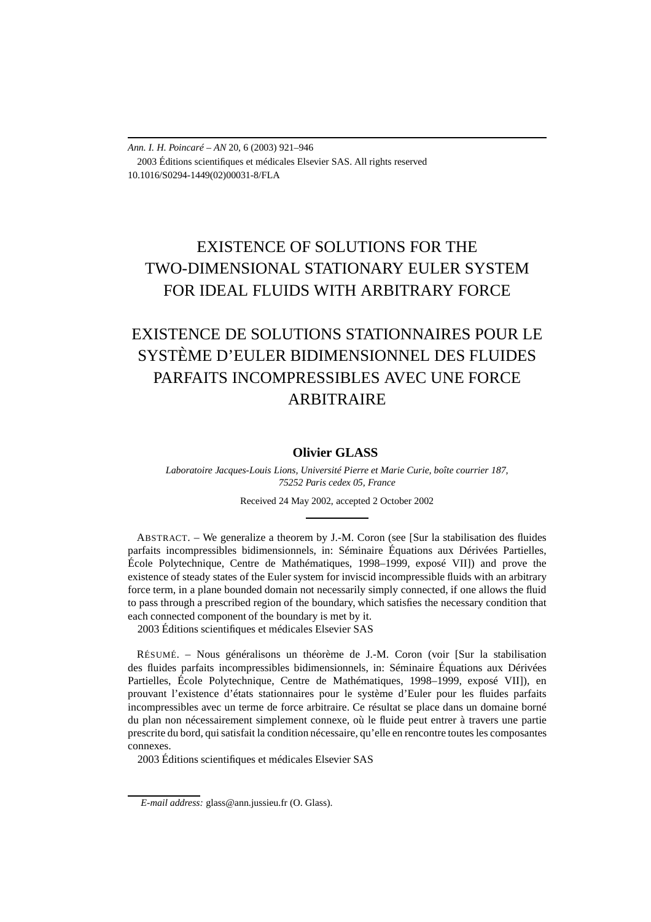*Ann. I. H. Poincaré – AN* 20, 6 (2003) 921–946 2003 Éditions scientifiques et médicales Elsevier SAS. All rights reserved 10.1016/S0294-1449(02)00031-8/FLA

# EXISTENCE OF SOLUTIONS FOR THE TWO-DIMENSIONAL STATIONARY EULER SYSTEM FOR IDEAL FLUIDS WITH ARBITRARY FORCE

# EXISTENCE DE SOLUTIONS STATIONNAIRES POUR LE SYSTÈME D'EULER BIDIMENSIONNEL DES FLUIDES PARFAITS INCOMPRESSIBLES AVEC UNE FORCE ARBITRAIRE

#### **Olivier GLASS**

*Laboratoire Jacques-Louis Lions, Université Pierre et Marie Curie, boîte courrier 187, 75252 Paris cedex 05, France*

Received 24 May 2002, accepted 2 October 2002

ABSTRACT. – We generalize a theorem by J.-M. Coron (see [Sur la stabilisation des fluides parfaits incompressibles bidimensionnels, in: Séminaire Équations aux Dérivées Partielles, École Polytechnique, Centre de Mathématiques, 1998–1999, exposé VII]) and prove the existence of steady states of the Euler system for inviscid incompressible fluids with an arbitrary force term, in a plane bounded domain not necessarily simply connected, if one allows the fluid to pass through a prescribed region of the boundary, which satisfies the necessary condition that each connected component of the boundary is met by it. 2003 Éditions scientifiques et médicales Elsevier SAS

RÉSUMÉ. – Nous généralisons un théorème de J.-M. Coron (voir [Sur la stabilisation des fluides parfaits incompressibles bidimensionnels, in: Séminaire Équations aux Dérivées Partielles, École Polytechnique, Centre de Mathématiques, 1998–1999, exposé VII]), en prouvant l'existence d'états stationnaires pour le système d'Euler pour les fluides parfaits incompressibles avec un terme de force arbitraire. Ce résultat se place dans un domaine borné du plan non nécessairement simplement connexe, où le fluide peut entrer à travers une partie prescrite du bord, qui satisfait la condition nécessaire, qu'elle en rencontre toutes les composantes connexes.

2003 Éditions scientifiques et médicales Elsevier SAS

*E-mail address:* glass@ann.jussieu.fr (O. Glass).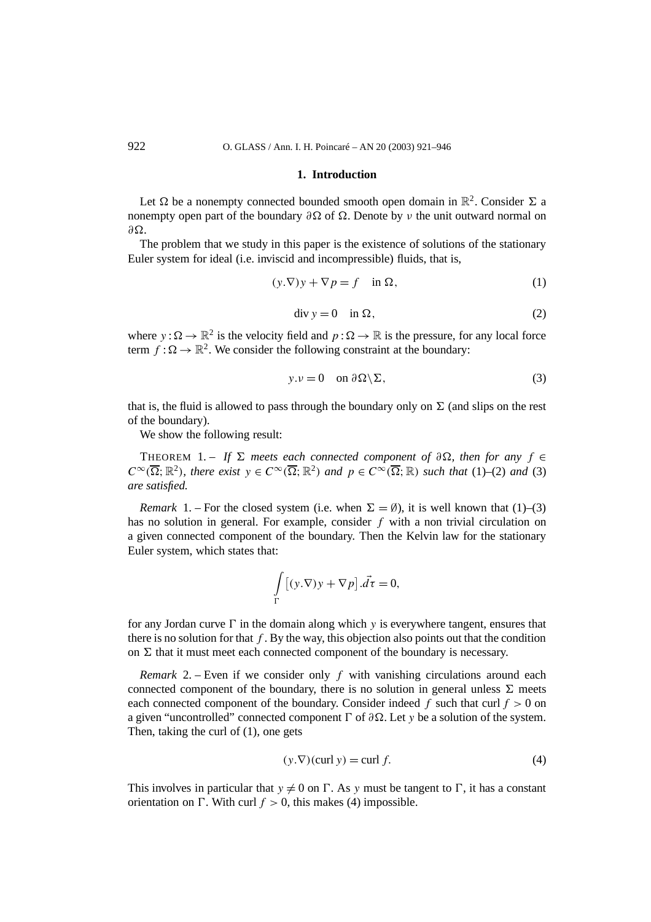#### **1. Introduction**

Let  $\Omega$  be a nonempty connected bounded smooth open domain in  $\mathbb{R}^2$ . Consider  $\Sigma$  a nonempty open part of the boundary  $\partial \Omega$  of  $\Omega$ . Denote by *v* the unit outward normal on  $∂Ω.$ 

The problem that we study in this paper is the existence of solutions of the stationary Euler system for ideal (i.e. inviscid and incompressible) fluids, that is,

$$
(y.\nabla)y + \nabla p = f \quad \text{in } \Omega,\tag{1}
$$

$$
\operatorname{div} y = 0 \quad \text{in } \Omega,\tag{2}
$$

where  $y : \Omega \to \mathbb{R}^2$  is the velocity field and  $p : \Omega \to \mathbb{R}$  is the pressure, for any local force term  $f : \Omega \to \mathbb{R}^2$ . We consider the following constraint at the boundary:

$$
y. v = 0 \quad \text{on } \partial\Omega \backslash \Sigma,
$$
 (3)

that is, the fluid is allowed to pass through the boundary only on  $\Sigma$  (and slips on the rest of the boundary).

We show the following result:

THEOREM 1. – If  $\Sigma$  meets each connected component of  $\partial \Omega$ , then for any  $f \in$  $C^{\infty}(\overline{\Omega}; \mathbb{R}^2)$ *, there exist*  $y \in C^{\infty}(\overline{\Omega}; \mathbb{R}^2)$  *and*  $p \in C^{\infty}(\overline{\Omega}; \mathbb{R})$  *such that* (1)–(2) *and* (3) *are satisfied.*

*Remark* 1. – For the closed system (i.e. when  $\Sigma = \emptyset$ ), it is well known that (1)–(3) has no solution in general. For example, consider *f* with a non trivial circulation on a given connected component of the boundary. Then the Kelvin law for the stationary Euler system, which states that:

$$
\int\limits_{\Gamma} [(y.\nabla)y + \nabla p] \cdot d\tau = 0,
$$

for any Jordan curve  $\Gamma$  in the domain along which  $y$  is everywhere tangent, ensures that there is no solution for that  $f$ . By the way, this objection also points out that the condition on  $\Sigma$  that it must meet each connected component of the boundary is necessary.

*Remark* 2. – Even if we consider only *f* with vanishing circulations around each connected component of the boundary, there is no solution in general unless  $\Sigma$  meets each connected component of the boundary. Consider indeed  $f$  such that curl  $f > 0$  on a given "uncontrolled" connected component  $\Gamma$  of  $\partial\Omega$ . Let *y* be a solution of the system. Then, taking the curl of (1), one gets

$$
(y.\nabla)(\text{curl } y) = \text{curl } f. \tag{4}
$$

This involves in particular that  $y \neq 0$  on  $\Gamma$ . As *y* must be tangent to  $\Gamma$ , it has a constant orientation on  $\Gamma$ . With curl  $f > 0$ , this makes (4) impossible.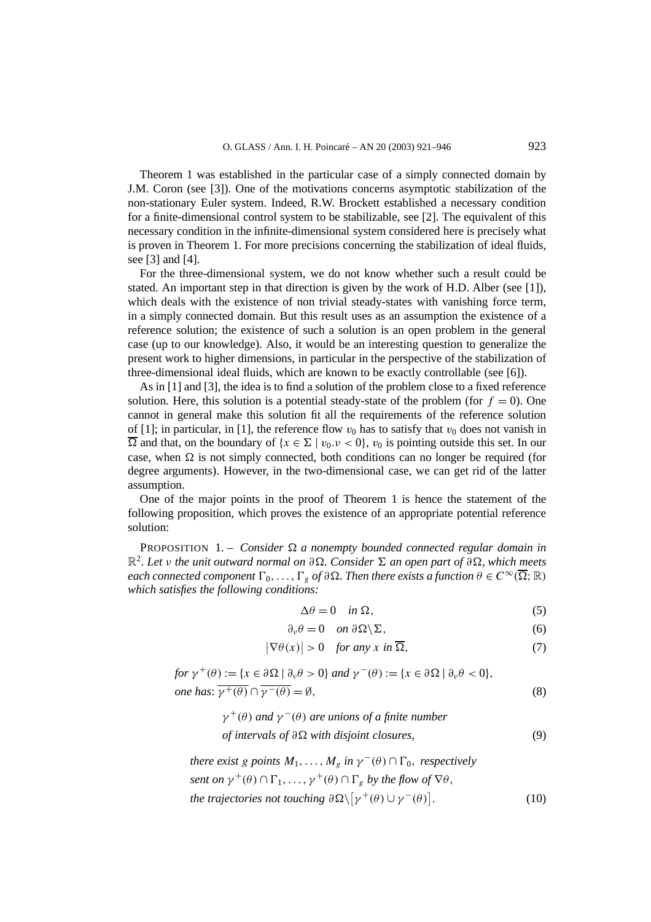Theorem 1 was established in the particular case of a simply connected domain by J.M. Coron (see [3]). One of the motivations concerns asymptotic stabilization of the non-stationary Euler system. Indeed, R.W. Brockett established a necessary condition for a finite-dimensional control system to be stabilizable, see [2]. The equivalent of this necessary condition in the infinite-dimensional system considered here is precisely what is proven in Theorem 1. For more precisions concerning the stabilization of ideal fluids, see [3] and [4].

For the three-dimensional system, we do not know whether such a result could be stated. An important step in that direction is given by the work of H.D. Alber (see [1]), which deals with the existence of non trivial steady-states with vanishing force term, in a simply connected domain. But this result uses as an assumption the existence of a reference solution; the existence of such a solution is an open problem in the general case (up to our knowledge). Also, it would be an interesting question to generalize the present work to higher dimensions, in particular in the perspective of the stabilization of three-dimensional ideal fluids, which are known to be exactly controllable (see [6]).

As in [1] and [3], the idea is to find a solution of the problem close to a fixed reference solution. Here, this solution is a potential steady-state of the problem (for  $f = 0$ ). One cannot in general make this solution fit all the requirements of the reference solution of [1]; in particular, in [1], the reference flow  $v_0$  has to satisfy that  $v_0$  does not vanish in  $\overline{\Omega}$  and that, on the boundary of  $\{x \in \Sigma \mid v_0, v < 0\}$ ,  $v_0$  is pointing outside this set. In our case, when  $\Omega$  is not simply connected, both conditions can no longer be required (for degree arguments). However, in the two-dimensional case, we can get rid of the latter assumption.

One of the major points in the proof of Theorem 1 is hence the statement of the following proposition, which proves the existence of an appropriate potential reference solution:

PROPOSITION 1. – *Consider a nonempty bounded connected regular domain in* R<sup>2</sup>*. Let ν the unit outward normal on ∂. Consider - an open part of ∂, which meets each connected component*  $\Gamma_0, \ldots, \Gamma_g$  *of*  $\partial \Omega$ *. Then there exists a function*  $\theta \in C^\infty(\overline{\Omega}; \mathbb{R})$ *which satisfies the following conditions:*

$$
\Delta \theta = 0 \quad \text{in } \Omega,\tag{5}
$$

$$
\partial_{\nu}\theta = 0 \quad on \ \partial\Omega\backslash\Sigma,\tag{6}
$$

$$
\left|\nabla\theta(x)\right| > 0 \quad \text{for any } x \text{ in } \overline{\Omega},\tag{7}
$$

$$
\begin{aligned} \text{for } \gamma^+(\theta) &:= \{ x \in \partial \Omega \mid \partial_\nu \theta > 0 \} \text{ and } \gamma^-(\theta) &:= \{ x \in \partial \Omega \mid \partial_\nu \theta < 0 \}, \\ \text{one has: } \overline{\gamma^+(\theta)} \cap \overline{\gamma^-(\theta)} &= \emptyset, \end{aligned} \tag{8}
$$

$$
\gamma^+(\theta)
$$
 and  $\gamma^-(\theta)$  are unions of a finite number  
of intervals of  $\partial\Omega$  with disjoint closures, (9)

*there exist g points*  $M_1, \ldots, M_g$  *in*  $\gamma^-(\theta) \cap \Gamma_0$ *, respectively sent on*  $\gamma^+(\theta) \cap \Gamma_1, \ldots, \gamma^+(\theta) \cap \Gamma_g$  *by the flow of*  $\nabla \theta$ *, the trajectories not touching*  $\partial \Omega \setminus [\gamma^+(\theta) \cup \gamma^-(\theta)]$ *.* (10)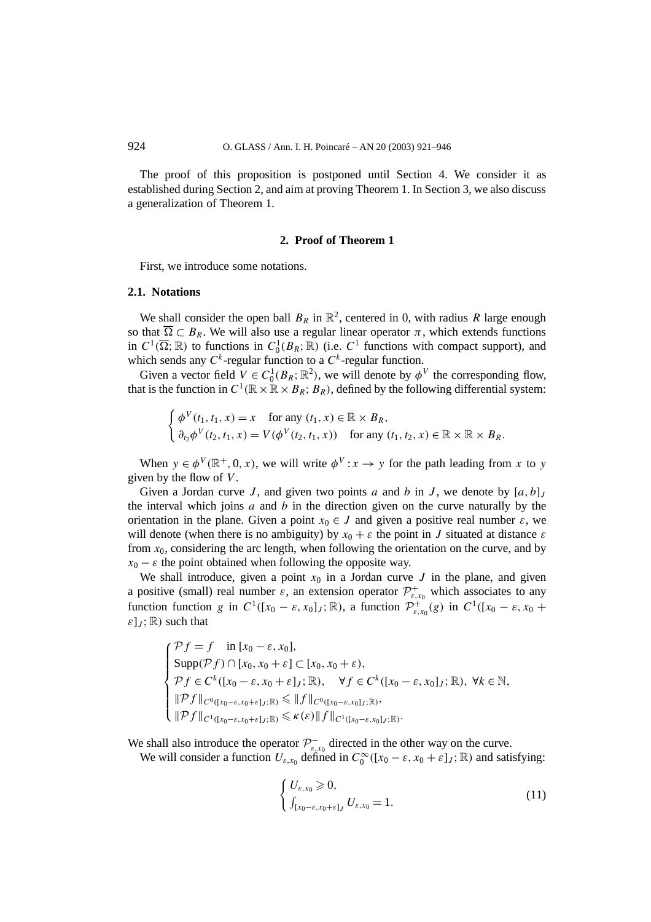The proof of this proposition is postponed until Section 4. We consider it as established during Section 2, and aim at proving Theorem 1. In Section 3, we also discuss a generalization of Theorem 1.

#### **2. Proof of Theorem 1**

First, we introduce some notations.

#### **2.1. Notations**

We shall consider the open ball  $B_R$  in  $\mathbb{R}^2$ , centered in 0, with radius R large enough so that  $\overline{\Omega} \subset B_R$ . We will also use a regular linear operator  $\pi$ , which extends functions in  $C^1(\overline{\Omega};\mathbb{R})$  to functions in  $C_0^1(B_R;\mathbb{R})$  (i.e.  $C^1$  functions with compact support), and which sends any  $C^k$ -regular function to a  $C^k$ -regular function.

Given a vector field  $V \in C_0^1(B_R; \mathbb{R}^2)$ , we will denote by  $\phi^V$  the corresponding flow, that is the function in  $C^1(\mathbb{R} \times \mathbb{R} \times B_R; B_R)$ , defined by the following differential system:

$$
\begin{cases}\n\phi^V(t_1, t_1, x) = x & \text{for any } (t_1, x) \in \mathbb{R} \times B_R, \\
\partial_{t_2} \phi^V(t_2, t_1, x) = V(\phi^V(t_2, t_1, x)) & \text{for any } (t_1, t_2, x) \in \mathbb{R} \times \mathbb{R} \times B_R.\n\end{cases}
$$

When  $y \in \phi^V(\mathbb{R}^+, 0, x)$ , we will write  $\phi^V: x \to y$  for the path leading from *x* to *y* given by the flow of *V* .

Given a Jordan curve *J*, and given two points *a* and *b* in *J*, we denote by  $[a, b]$ *J* the interval which joins *a* and *b* in the direction given on the curve naturally by the orientation in the plane. Given a point  $x_0 \in J$  and given a positive real number  $\varepsilon$ , we will denote (when there is no ambiguity) by  $x_0 + \varepsilon$  the point in *J* situated at distance  $\varepsilon$ from *x*0, considering the arc length, when following the orientation on the curve, and by  $x_0 - \varepsilon$  the point obtained when following the opposite way.

We shall introduce, given a point  $x_0$  in a Jordan curve  $J$  in the plane, and given a positive (small) real number  $\varepsilon$ , an extension operator  $\mathcal{P}^+_{\varepsilon,x_0}$  which associates to any function function *g* in  $C^1([x_0 - \varepsilon, x_0]_J; \mathbb{R})$ , a function  $\mathcal{P}_{\varepsilon, x_0}^+(g)$  in  $C^1([x_0 - \varepsilon, x_0 +$  $\mathcal{E}[J; \mathbb{R})$  such that

$$
\begin{cases}\n\mathcal{P}f = f & \text{in } [x_0 - \varepsilon, x_0], \\
\text{Supp}(\mathcal{P}f) \cap [x_0, x_0 + \varepsilon] \subset [x_0, x_0 + \varepsilon), \\
\mathcal{P}f \in C^k([x_0 - \varepsilon, x_0 + \varepsilon], \mathbb{R}), \quad \forall f \in C^k([x_0 - \varepsilon, x_0], \mathbb{R}), \forall k \in \mathbb{N}, \\
\|\mathcal{P}f\|_{C^0([x_0 - \varepsilon, x_0 + \varepsilon], \mathbb{R})} \le \|f\|_{C^0([x_0 - \varepsilon, x_0], \mathbb{R})}, \\
\|\mathcal{P}f\|_{C^1([x_0 - \varepsilon, x_0 + \varepsilon], \mathbb{R})} \le \kappa(\varepsilon) \|f\|_{C^1([x_0 - \varepsilon, x_0], \mathbb{R})}.\n\end{cases}
$$

We shall also introduce the operator  $\mathcal{P}^-_{\varepsilon,x_0}$  directed in the other way on the curve.

We will consider a function  $U_{\varepsilon,x_0}$  defined in  $C_0^{\infty}([x_0 - \varepsilon, x_0 + \varepsilon]_J; \mathbb{R})$  and satisfying:

$$
\begin{cases} U_{\varepsilon,x_0} \geqslant 0, \\ \int_{[x_0-\varepsilon,x_0+\varepsilon]_J} U_{\varepsilon,x_0} = 1. \end{cases} \tag{11}
$$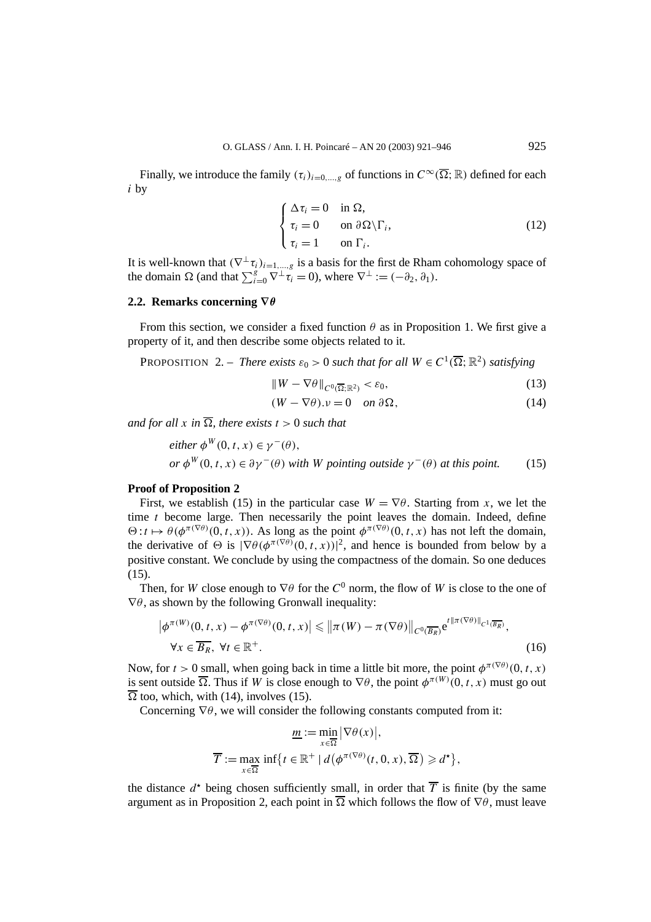Finally, we introduce the family  $(\tau_i)_{i=0,\ldots,g}$  of functions in  $C^{\infty}(\overline{\Omega};\mathbb{R})$  defined for each *i* by

$$
\begin{cases}\n\Delta \tau_i = 0 & \text{in } \Omega, \\
\tau_i = 0 & \text{on } \partial \Omega \setminus \Gamma_i, \\
\tau_i = 1 & \text{on } \Gamma_i.\n\end{cases}
$$
\n(12)

It is well-known that  $(\nabla^{\perp} \tau_i)_{i=1,\dots,g}$  is a basis for the first de Rham cohomology space of the domain  $\Omega$  (and that  $\sum_{i=0}^{g} \nabla^{\perp} \tau_i = 0$ ), where  $\nabla^{\perp} := (-\partial_2, \partial_1)$ .

#### **2.2. Remarks concerning ∇***θ*

From this section, we consider a fixed function  $\theta$  as in Proposition 1. We first give a property of it, and then describe some objects related to it.

**PROPOSITION** 2. – *There exists*  $\varepsilon_0 > 0$  *such that for all*  $W \in C^1(\overline{\Omega}; \mathbb{R}^2)$  *satisfying* 

$$
||W - \nabla \theta||_{C^0(\overline{\Omega}; \mathbb{R}^2)} < \varepsilon_0,\tag{13}
$$

$$
(W - \nabla \theta).v = 0 \quad on \ \partial \Omega,\tag{14}
$$

*and for all x in*  $\overline{\Omega}$ *, there exists*  $t > 0$  *such that* 

*either* 
$$
\phi^W(0, t, x) \in \gamma^-(\theta)
$$
,  
or  $\phi^W(0, t, x) \in \partial \gamma^-(\theta)$  with *W* pointing outside  $\gamma^-(\theta)$  at this point. (15)

#### **Proof of Proposition 2**

First, we establish (15) in the particular case  $W = \nabla \theta$ . Starting from *x*, we let the time *t* become large. Then necessarily the point leaves the domain. Indeed, define  $\Theta: t \mapsto \theta(\phi^{\pi(\nabla \theta)}(0, t, x))$ . As long as the point  $\phi^{\pi(\nabla \theta)}(0, t, x)$  has not left the domain, the derivative of  $\Theta$  is  $|\nabla \theta(\phi^{\pi(\nabla \theta)}(0, t, x))|^2$ , and hence is bounded from below by a positive constant. We conclude by using the compactness of the domain. So one deduces (15).

Then, for *W* close enough to  $\nabla \theta$  for the  $C^0$  norm, the flow of *W* is close to the one of  $\nabla \theta$ , as shown by the following Gronwall inequality:

$$
\left|\phi^{\pi(W)}(0, t, x) - \phi^{\pi(\nabla \theta)}(0, t, x)\right| \leq \left\|\pi(W) - \pi(\nabla \theta)\right\|_{C^0(\overline{B_R})} e^{t\|\pi(\nabla \theta)\|_{C^1(\overline{B_R})}},
$$
  
\n
$$
\forall x \in \overline{B_R}, \ \forall t \in \mathbb{R}^+.
$$
 (16)

Now, for  $t > 0$  small, when going back in time a little bit more, the point  $\phi^{\pi(\nabla \theta)}(0, t, x)$ is sent outside  $\overline{\Omega}$ . Thus if *W* is close enough to  $\nabla \theta$ , the point  $\phi^{\pi(W)}(0, t, x)$  must go out  $\overline{\Omega}$  too, which, with (14), involves (15).

Concerning ∇*θ*, we will consider the following constants computed from it:

$$
\underline{m} := \min_{x \in \overline{\Omega}} |\nabla \theta(x)|,
$$
  

$$
\overline{T} := \max_{x \in \overline{\Omega}} \inf \{ t \in \mathbb{R}^+ \mid d(\phi^{\pi(\nabla \theta)}(t, 0, x), \overline{\Omega}) \geq d^{\star} \},\
$$

the distance  $d^*$  being chosen sufficiently small, in order that  $\overline{T}$  is finite (by the same argument as in Proposition 2, each point in  $\overline{\Omega}$  which follows the flow of  $\nabla \theta$ , must leave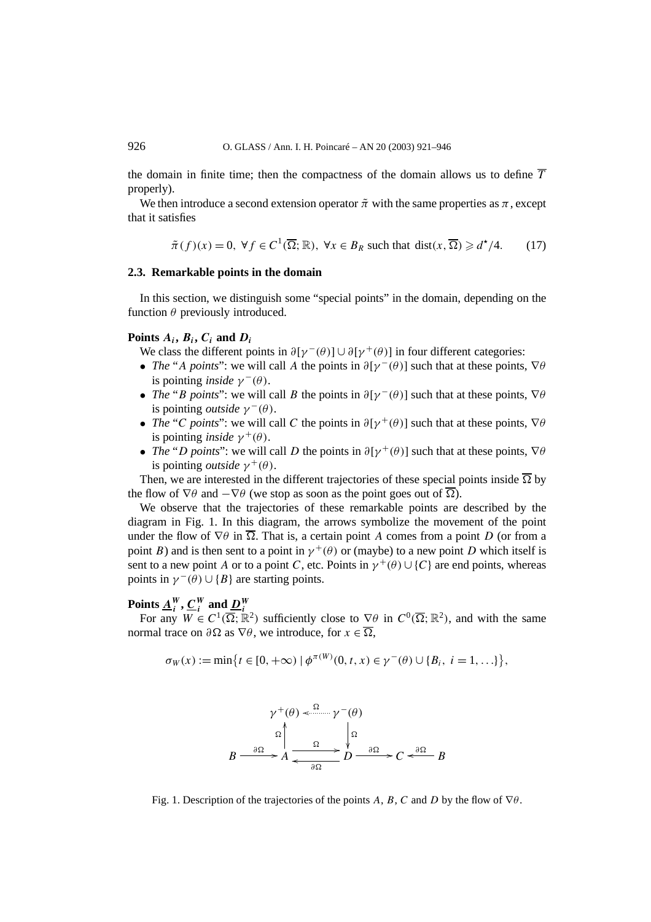the domain in finite time; then the compactness of the domain allows us to define  $\overline{T}$ properly).

We then introduce a second extension operator  $\tilde{\pi}$  with the same properties as  $\pi$ , except that it satisfies

$$
\tilde{\pi}(f)(x) = 0, \ \forall f \in C^1(\overline{\Omega}; \mathbb{R}), \ \forall x \in B_R \ \text{such that } \text{dist}(x, \overline{\Omega}) \geq d^{\star}/4. \tag{17}
$$

#### **2.3. Remarkable points in the domain**

In this section, we distinguish some "special points" in the domain, depending on the function  $\theta$  previously introduced.

#### Points  $A_i$ ,  $B_i$ ,  $C_i$  and  $D_i$

We class the different points in  $\partial[\gamma^-(\theta)] \cup \partial[\gamma^+(\theta)]$  in four different categories:

- *The* "*A points*": we will call *A* the points in  $\partial[\gamma(\theta)]$  such that at these points,  $\nabla\theta$ is pointing *inside*  $\gamma^-(\theta)$ .
- *The* "*B points*": we will call *B* the points in  $\partial[\gamma^-(\theta)]$  such that at these points,  $\nabla\theta$ is pointing *outside*  $\gamma^-(\theta)$ .
- *The* "*C points*": we will call *C* the points in  $\partial[\gamma^+(\theta)]$  such that at these points,  $\nabla\theta$ is pointing *inside*  $\gamma^+(\theta)$ .
- *The* "*D points*": we will call *D* the points in  $\partial[\gamma^+(\theta)]$  such that at these points,  $\nabla\theta$ is pointing *outside*  $\gamma^+(\theta)$ .

Then, we are interested in the different trajectories of these special points inside  $\overline{\Omega}$  by the flow of  $\nabla \theta$  and  $-\nabla \theta$  (we stop as soon as the point goes out of  $\overline{\Omega}$ ).

We observe that the trajectories of these remarkable points are described by the diagram in Fig. 1. In this diagram, the arrows symbolize the movement of the point under the flow of  $\nabla \theta$  in  $\overline{\Omega}$ . That is, a certain point *A* comes from a point *D* (or from a point *B*) and is then sent to a point in  $\gamma^+(\theta)$  or (maybe) to a new point *D* which itself is sent to a new point *A* or to a point *C*, etc. Points in  $\gamma^+(\theta) \cup \{C\}$  are end points, whereas points in  $\gamma^-(\theta) \cup \{B\}$  are starting points.

## Points  $\underline{A}_i^W$ ,  $\underline{C}_i^W$  and  $\underline{D}_i^W$

For any  $W \in C^1(\overline{\Omega}; \mathbb{R}^2)$  sufficiently close to  $\nabla \theta$  in  $C^0(\overline{\Omega}; \mathbb{R}^2)$ , and with the same normal trace on  $\partial \Omega$  as  $\nabla \theta$ , we introduce, for  $x \in \overline{\Omega}$ ,

$$
\sigma_W(x) := \min\{t \in [0, +\infty) \mid \phi^{\pi(W)}(0, t, x) \in \gamma^-(\theta) \cup \{B_i, i = 1, \ldots\}\},\
$$

$$
\gamma^{+}(\theta) \leq \frac{\Omega}{\theta} \qquad \gamma^{-}(\theta)
$$
\n
$$
B \xrightarrow{\partial \Omega} A \xrightarrow{\Omega} \frac{\Omega}{\theta} \qquad \frac{\Omega}{\theta} \qquad \frac{\partial \Omega}{\partial \theta} \qquad \frac{\partial \Omega}{\partial \theta} \qquad \frac{\partial \Omega}{\partial \theta} \qquad B
$$

Fig. 1. Description of the trajectories of the points *A*, *B*, *C* and *D* by the flow of  $\nabla \theta$ .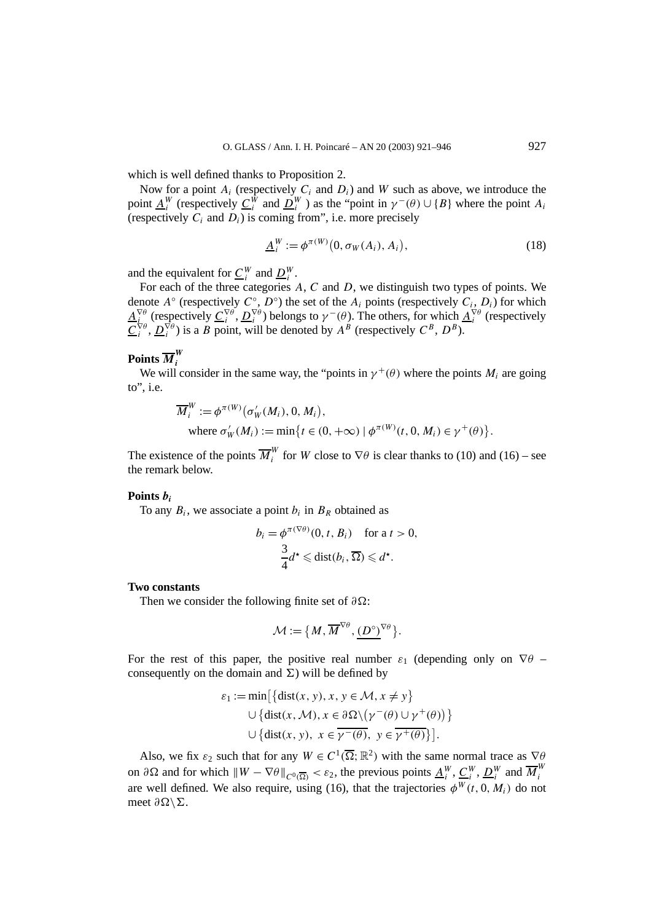which is well defined thanks to Proposition 2.

Now for a point  $A_i$  (respectively  $C_i$  and  $D_i$ ) and  $W$  such as above, we introduce the point  $\underline{A}^W_i$  (respectively  $\underline{C}^W_i$  and  $\underline{D}^W_i$ ) as the "point in  $\gamma^-(\theta) \cup \{B\}$  where the point  $A_i$ (respectively  $C_i$  and  $D_i$ ) is coming from", i.e. more precisely

$$
\underline{A}_i^W := \phi^{\pi(W)}(0, \sigma_W(A_i), A_i), \qquad (18)
$$

and the equivalent for  $\underline{C}_i^W$  and  $\underline{D}_i^W$ .

For each of the three categories *A*, *C* and *D*, we distinguish two types of points. We denote  $A^\circ$  (respectively  $C^\circ$ ,  $D^\circ$ ) the set of the  $A_i$  points (respectively  $C_i$ ,  $D_i$ ) for which  $A_i^{\nabla \theta}$  (respectively  $C_i^{\nabla \theta}$ ,  $D_i^{\nabla \theta}$ ) belongs to  $\gamma^-(\theta)$ . The others, for which  $A_i^{\nabla \theta}$  (respectively  $C_i^{\nabla \theta}$ ,  $D_i^{\nabla \theta}$ ) is a *B* point, will be denoted by  $A^B$  (respectively  $C^B$ ,  $D^B$ ).

## Points  $\overline{M}_{i}^{W}$

We will consider in the same way, the "points in  $\gamma^+(\theta)$  where the points  $M_i$  are going to", i.e.

$$
\overline{M}_i^W := \phi^{\pi(W)}(\sigma'_W(M_i), 0, M_i),
$$
  
where  $\sigma'_W(M_i) := \min\{t \in (0, +\infty) \mid \phi^{\pi(W)}(t, 0, M_i) \in \gamma^+(\theta)\}.$ 

The existence of the points  $\overline{M}_i^W$  for *W* close to  $\nabla \theta$  is clear thanks to (10) and (16) – see the remark below.

#### **Points** *bi*

To any  $B_i$ , we associate a point  $b_i$  in  $B_R$  obtained as

$$
b_i = \phi^{\pi(\nabla \theta)}(0, t, B_i) \quad \text{for a } t > 0,
$$
  

$$
\frac{3}{4}d^* \leq \text{dist}(b_i, \overline{\Omega}) \leq d^*.
$$

#### **Two constants**

Then we consider the following finite set of *∂*Ω:

$$
\mathcal{M} := \{ M, \overline{M}^{\nabla \theta}, \underline{(D^{\circ})}^{\nabla \theta} \}.
$$

For the rest of this paper, the positive real number  $\varepsilon_1$  (depending only on  $\nabla \theta$  – consequently on the domain and  $\Sigma$ ) will be defined by

$$
\varepsilon_1 := \min\left[\{\text{dist}(x, y), x, y \in \mathcal{M}, x \neq y\} \cup \{\text{dist}(x, \mathcal{M}), x \in \partial \Omega \setminus (\gamma^-(\theta) \cup \gamma^+(\theta))\}\right]
$$
  

$$
\cup \{\text{dist}(x, y), x \in \overline{\gamma^-(\theta)}, y \in \overline{\gamma^+(\theta)}\}\right].
$$

Also, we fix  $\varepsilon_2$  such that for any  $W \in C^1(\overline{\Omega}; \mathbb{R}^2)$  with the same normal trace as  $\nabla \theta$ on  $\partial \Omega$  and for which  $\|W - \nabla \theta\|_{C^0(\overline{\Omega})} < \varepsilon_2$ , the previous points  $\underline{A}_i^W$ ,  $\underline{C}_i^W$ ,  $\underline{D}_i^W$  and  $\overline{M}_i^W$ are well defined. We also require, using (16), that the trajectories  $\phi^W(t, 0, M_i)$  do not meet  $\partial Ω$ \*Σ*.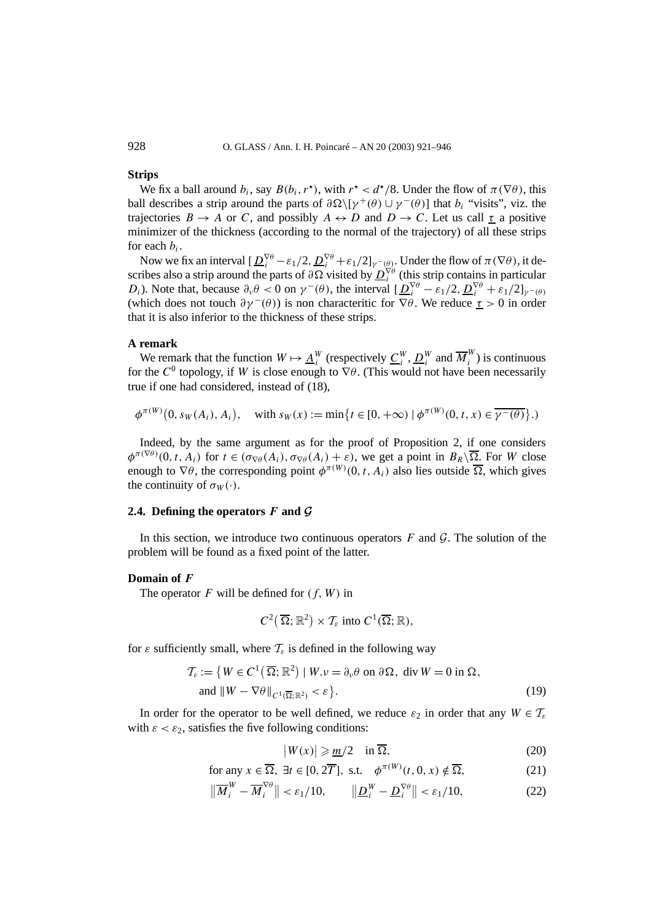928 O. GLASS / Ann. I. H. Poincaré – AN 20 (2003) 921–946

#### **Strips**

We fix a ball around  $b_i$ , say  $B(b_i, r^*)$ , with  $r^* < d^*/8$ . Under the flow of  $\pi(\nabla\theta)$ , this ball describes a strip around the parts of  $\partial \Omega \setminus [\gamma^+(\theta) \cup \gamma^-(\theta)]$  that *b<sub>i</sub>* "visits", viz. the trajectories  $B \to A$  or *C*, and possibly  $A \leftrightarrow D$  and  $D \to C$ . Let us call  $\tau$  a positive minimizer of the thickness (according to the normal of the trajectory) of all these strips for each *bi*.

Now we fix an interval  $[\underline{D}_i^{\nabla \theta} - \varepsilon_1/2, \underline{D}_i^{\nabla \theta} + \varepsilon_1/2]_{\gamma = (\theta)}$ . Under the flow of  $\pi(\nabla \theta)$ , it describes also a strip around the parts of  $\partial \Omega$  visited by  $D_i^{\nabla \theta}$  (this strip contains in particular *D<sub>i</sub>*). Note that, because  $\partial_{\nu} \theta < 0$  on  $\gamma^{-}(\theta)$ , the interval  $[\underline{D}_{i}^{\nabla \theta} - \varepsilon_{1}/2, \underline{D}_{i}^{\nabla \theta} + \varepsilon_{1}/2]_{\gamma^{-}(\theta)}$ (which does not touch  $\partial \gamma^-(\theta)$ ) is non characteritic for  $\nabla \theta$ . We reduce  $\tau > 0$  in order that it is also inferior to the thickness of these strips.

#### **A remark**

We remark that the function  $W \mapsto \underline{A}_i^W$  (respectively  $\underline{C}_i^W$ ,  $\underline{D}_i^W$  and  $\overline{M}_i^W$ ) is continuous for the  $C^0$  topology, if *W* is close enough to  $\nabla \theta$ . (This would not have been necessarily true if one had considered, instead of (18),

$$
\phi^{\pi(W)}(0, s_W(A_i), A_i), \text{ with } s_W(x) := \min\{t \in [0, +\infty) \mid \phi^{\pi(W)}(0, t, x) \in \overline{\gamma^-(\theta)}\}.
$$

Indeed, by the same argument as for the proof of Proposition 2, if one considers  $\phi^{\pi(\nabla \theta)}(0, t, A_i)$  for  $t \in (\sigma_{\nabla \theta}(A_i), \sigma_{\nabla \theta}(A_i) + \varepsilon)$ , we get a point in  $B_R \setminus \overline{\Omega}$ . For *W* close enough to  $\nabla \theta$ , the corresponding point  $\phi^{\pi(W)}(0, t, A_i)$  also lies outside  $\overline{\Omega}$ , which gives the continuity of  $\sigma_W(\cdot)$ .

#### **2.4.** Defining the operators  $F$  and  $G$

In this section, we introduce two continuous operators  $F$  and  $\mathcal G$ . The solution of the problem will be found as a fixed point of the latter.

#### **Domain of** *F*

The operator  $F$  will be defined for  $(f, W)$  in

$$
C^2(\overline{\Omega}; \mathbb{R}^2) \times \mathcal{T}_{\varepsilon}
$$
 into  $C^1(\overline{\Omega}; \mathbb{R}),$ 

for  $\varepsilon$  sufficiently small, where  $\mathcal{T}_{\varepsilon}$  is defined in the following way

$$
\mathcal{T}_{\varepsilon} := \{ W \in C^{1}(\overline{\Omega}; \mathbb{R}^{2}) \mid W. \nu = \partial_{\nu} \theta \text{ on } \partial \Omega, \text{ div } W = 0 \text{ in } \Omega, \n\text{ and } \| W - \nabla \theta \|_{C^{1}(\overline{\Omega}; \mathbb{R}^{2})} < \varepsilon \}.
$$
\n(19)

In order for the operator to be well defined, we reduce  $\varepsilon_2$  in order that any  $W \in \mathcal{T}_{\varepsilon}$ with  $\varepsilon < \varepsilon_2$ , satisfies the five following conditions:

$$
|W(x)| \geqslant \underline{m}/2 \quad \text{in } \overline{\Omega}, \tag{20}
$$

for any 
$$
x \in \overline{\Omega}
$$
,  $\exists t \in [0, 2\overline{T}]$ , s.t.  $\phi^{\pi(W)}(t, 0, x) \notin \overline{\Omega}$ , (21)

$$
\|\overline{M}_i^W - \overline{M}_i^{\nabla \theta}\| < \varepsilon_1/10, \qquad \|\underline{D}_i^W - \underline{D}_i^{\nabla \theta}\| < \varepsilon_1/10,\tag{22}
$$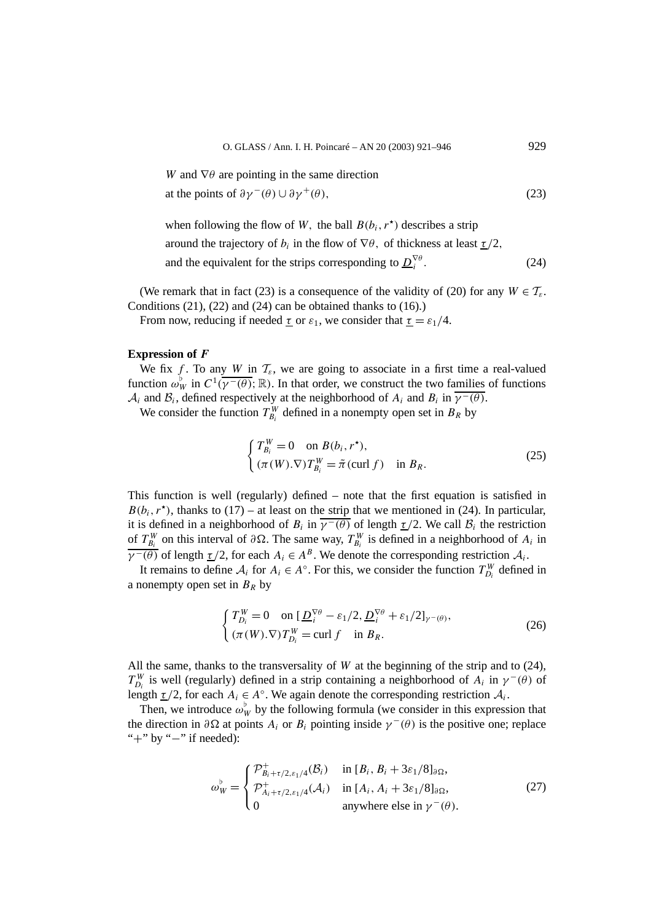*W* and  $\nabla \theta$  are pointing in the same direction at the points of  $\partial \gamma^-(\theta) \cup \partial \gamma^+(\theta)$ , (23)

when following the flow of *W*, the ball  $B(b_i, r^*)$  describes a strip around the trajectory of  $b_i$  in the flow of  $\nabla \theta$ , of thickness at least  $\tau/2$ , and the equivalent for the strips corresponding to  $D_i^{\nabla \theta}$ . *<sup>i</sup> .* (24)

(We remark that in fact (23) is a consequence of the validity of (20) for any  $W \in \mathcal{T}_{\varepsilon}$ . Conditions  $(21)$ ,  $(22)$  and  $(24)$  can be obtained thanks to  $(16)$ .)

From now, reducing if needed  $\tau$  or  $\varepsilon_1$ , we consider that  $\tau = \varepsilon_1/4$ .

#### **Expression of** *F*

We fix *f*. To any *W* in  $\mathcal{T}_{\varepsilon}$ , we are going to associate in a first time a real-valued function  $\omega_W^{\flat}$  in  $C^1(\overline{\gamma^-(\theta)}; \mathbb{R})$ . In that order, we construct the two families of functions  $A_i$  and  $B_i$ , defined respectively at the neighborhood of  $A_i$  and  $B_i$  in  $\overline{\gamma^-(\theta)}$ .

We consider the function  $T_{B_i}^W$  defined in a nonempty open set in  $B_R$  by

$$
\begin{cases}\nT_{B_i}^W = 0 & \text{on } B(b_i, r^*), \\
(\pi(W).\nabla)T_{B_i}^W = \tilde{\pi}(\text{curl } f) & \text{in } B_R.\n\end{cases}
$$
\n(25)

This function is well (regularly) defined – note that the first equation is satisfied in  $B(b_i, r^*)$ , thanks to (17) – at least on the strip that we mentioned in (24). In particular, it is defined in a neighborhood of  $B_i$  in  $\overline{\gamma^-(\theta)}$  of length  $\underline{\tau}/2$ . We call  $B_i$  the restriction of  $T_{B_i}^W$  on this interval of  $\partial \Omega$ . The same way,  $T_{B_i}^W$  is defined in a neighborhood of  $A_i$  in  $\overline{\gamma^-(\theta)}$  of length  $\underline{\tau}/2$ , for each  $A_i \in A^B$ . We denote the corresponding restriction  $A_i$ .

It remains to define  $A_i$  for  $A_i \in A^\circ$ . For this, we consider the function  $T_{D_i}^W$  defined in a nonempty open set in  $B_R$  by

$$
\begin{cases}\nT_{D_i}^W = 0 & \text{on } [\underline{D}_i^{\nabla \theta} - \varepsilon_1/2, \underline{D}_i^{\nabla \theta} + \varepsilon_1/2]_{\gamma^-(\theta)}, \\
(\pi(W).\nabla) T_{D_i}^W = \text{curl } f & \text{in } B_R.\n\end{cases}
$$
\n(26)

All the same, thanks to the transversality of *W* at the beginning of the strip and to  $(24)$ ,  $T_{D_i}^W$  is well (regularly) defined in a strip containing a neighborhood of  $A_i$  in  $\gamma^-(\theta)$  of length  $\underline{\tau}/2$ , for each  $A_i \in A^\circ$ . We again denote the corresponding restriction  $A_i$ .

Then, we introduce  $\omega_W^{\flat}$  by the following formula (we consider in this expression that the direction in  $\partial \Omega$  at points  $A_i$  or  $B_i$  pointing inside  $\gamma^-(\theta)$  is the positive one; replace "+" by "−" if needed):

$$
\omega_W^{\flat} = \begin{cases} \mathcal{P}_{B_i + \tau/2, \varepsilon_1/4}^+(\mathcal{B}_i) & \text{in } [B_i, B_i + 3\varepsilon_1/8]_{\partial\Omega}, \\ \mathcal{P}_{A_i + \tau/2, \varepsilon_1/4}^+(\mathcal{A}_i) & \text{in } [A_i, A_i + 3\varepsilon_1/8]_{\partial\Omega}, \\ 0 & \text{anywhere else in } \gamma^-(\theta). \end{cases} \tag{27}
$$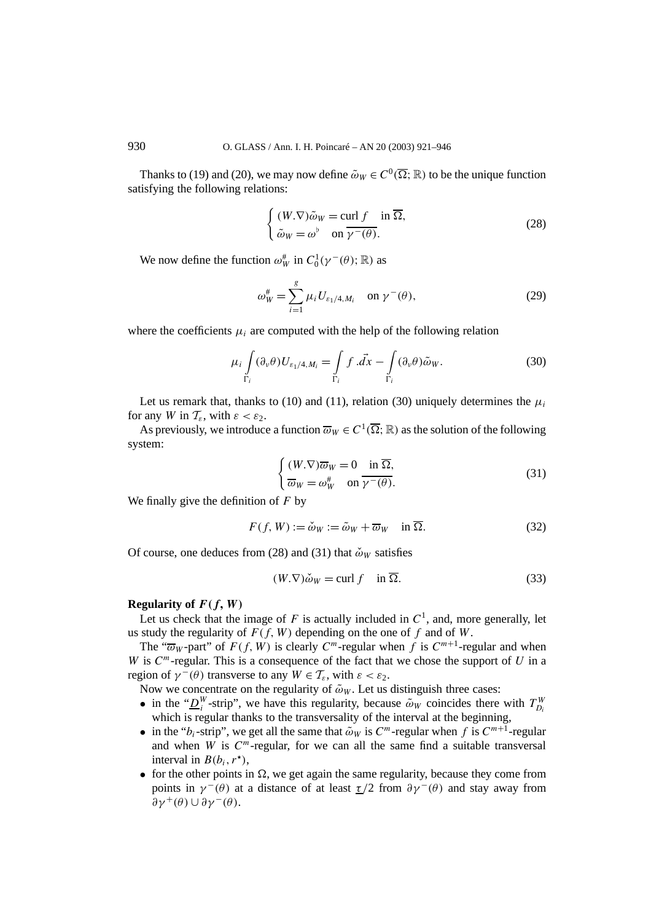Thanks to (19) and (20), we may now define  $\tilde{\omega}_W \in C^0(\overline{\Omega};\mathbb{R})$  to be the unique function satisfying the following relations:

$$
\begin{cases} (W.\nabla)\tilde{\omega}_W = \text{curl } f & \text{in } \overline{\Omega}, \\ \tilde{\omega}_W = \omega^\flat & \text{on } \overline{\gamma}^-(\theta). \end{cases}
$$
 (28)

We now define the function  $\omega_W^{\#}$  in  $C_0^1(\gamma^-(\theta);\mathbb{R})$  as

$$
\omega_W^{\#} = \sum_{i=1}^{g} \mu_i U_{\varepsilon_1/4, M_i} \quad \text{on } \gamma^-(\theta), \tag{29}
$$

where the coefficients  $\mu_i$  are computed with the help of the following relation

$$
\mu_i \int_{\Gamma_i} (\partial_\nu \theta) U_{\varepsilon_1/4, M_i} = \int_{\Gamma_i} f \cdot \vec{dx} - \int_{\Gamma_i} (\partial_\nu \theta) \tilde{\omega}_W.
$$
 (30)

Let us remark that, thanks to (10) and (11), relation (30) uniquely determines the  $\mu_i$ for any *W* in  $\mathcal{T}_{\varepsilon}$ , with  $\varepsilon < \varepsilon_2$ .

As previously, we introduce a function  $\overline{\omega}_W \in C^1(\overline{\Omega};\mathbb{R})$  as the solution of the following system:

$$
\begin{cases} (W.\nabla)\overline{\omega}_W = 0 & \text{in }\overline{\Omega}, \\ \overline{\omega}_W = \omega_W^* & \text{on }\overline{\gamma^-(\theta)}. \end{cases}
$$
\n(31)

We finally give the definition of *F* by

$$
F(f, W) := \check{\omega}_W := \tilde{\omega}_W + \overline{\omega}_W \quad \text{in } \overline{\Omega}.
$$
 (32)

Of course, one deduces from (28) and (31) that  $\check{\omega}_W$  satisfies

$$
(W.\nabla)\check{\omega}_W = \text{curl } f \quad \text{in } \overline{\Omega}. \tag{33}
$$

#### **Regularity of**  $F(f, W)$

Let us check that the image of *F* is actually included in  $C<sup>1</sup>$ , and, more generally, let us study the regularity of  $F(f, W)$  depending on the one of f and of W.

The " $\overline{\omega}_W$ -part" of  $F(f, W)$  is clearly  $C^m$ -regular when *f* is  $C^{m+1}$ -regular and when *W* is *C<sup>m</sup>*-regular. This is a consequence of the fact that we chose the support of *U* in a region of  $\gamma^-(\theta)$  transverse to any  $W \in \mathcal{T}_{\varepsilon}$ , with  $\varepsilon < \varepsilon_2$ .

Now we concentrate on the regularity of  $\tilde{\omega}_W$ . Let us distinguish three cases:

- in the " $D_i^W$ -strip", we have this regularity, because  $\tilde{\omega}_W$  coincides there with  $T_{D_i}^W$ which is regular thanks to the transversality of the interval at the beginning,
- in the " $b_i$ -strip", we get all the same that  $\tilde{\omega}_W$  is  $C^m$ -regular when f is  $C^{m+1}$ -regular and when *W* is  $C<sup>m</sup>$ -regular, for we can all the same find a suitable transversal interval in  $B(b_i, r^{\star})$ ,
- for the other points in  $\Omega$ , we get again the same regularity, because they come from *points* in  $\gamma$ <sup>-</sup>(θ) at a distance of at least  $\tau/2$  from  $\partial \gamma$ <sup>-</sup>(θ) and stay away from  $\partial$ γ<sup>+</sup>(θ)∪ $\partial$ γ<sup>-</sup>(θ).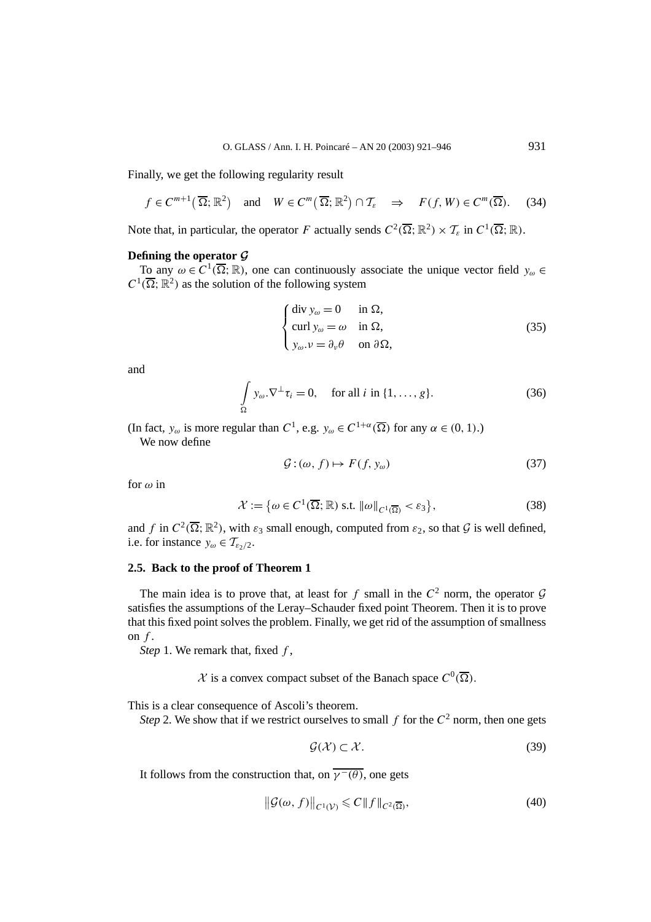Finally, we get the following regularity result

$$
f \in C^{m+1}(\overline{\Omega}; \mathbb{R}^2)
$$
 and  $W \in C^m(\overline{\Omega}; \mathbb{R}^2) \cap \mathcal{T}_{\varepsilon} \implies F(f, W) \in C^m(\overline{\Omega}).$  (34)

Note that, in particular, the operator *F* actually sends  $C^2(\overline{\Omega}; \mathbb{R}^2) \times \mathcal{T}_{\varepsilon}$  in  $C^1(\overline{\Omega}; \mathbb{R})$ .

#### **Defining the operator** *G*

To any  $\omega \in C^1(\overline{\Omega};\mathbb{R})$ , one can continuously associate the unique vector field  $y_\omega \in$  $C^1(\overline{\Omega};\mathbb{R}^2)$  as the solution of the following system

$$
\begin{cases} \operatorname{div} y_{\omega} = 0 & \text{in } \Omega, \\ \operatorname{curl} y_{\omega} = \omega & \text{in } \Omega, \\ y_{\omega} . \nu = \partial_{\nu} \theta & \text{on } \partial \Omega, \end{cases}
$$
 (35)

and

$$
\int_{\Omega} y_{\omega} \cdot \nabla^{\perp} \tau_i = 0, \quad \text{for all } i \text{ in } \{1, \dots, g\}. \tag{36}
$$

(In fact,  $y_{\omega}$  is more regular than *C*<sup>1</sup>, e.g.  $y_{\omega} \in C^{1+\alpha}(\overline{\Omega})$  for any  $\alpha \in (0, 1)$ .) We now define

$$
\mathcal{G} : (\omega, f) \mapsto F(f, y_{\omega}) \tag{37}
$$

for *ω* in

$$
\mathcal{X} := \{ \omega \in C^1(\overline{\Omega}; \mathbb{R}) \text{ s.t. } \|\omega\|_{C^1(\overline{\Omega})} < \varepsilon_3 \},\tag{38}
$$

and *f* in  $C^2(\overline{\Omega}; \mathbb{R}^2)$ , with  $\varepsilon_3$  small enough, computed from  $\varepsilon_2$ , so that  $\mathcal G$  is well defined, i.e. for instance  $y_{\omega} \in \mathcal{T}_{\epsilon_2/2}$ .

### **2.5. Back to the proof of Theorem 1**

The main idea is to prove that, at least for  $f$  small in the  $C^2$  norm, the operator  $\mathcal G$ satisfies the assumptions of the Leray–Schauder fixed point Theorem. Then it is to prove that this fixed point solves the problem. Finally, we get rid of the assumption of smallness on *f* .

*Step* 1. We remark that, fixed *f* ,

 $\mathcal{X}$  is a convex compact subset of the Banach space  $C^0(\overline{\Omega})$ .

This is a clear consequence of Ascoli's theorem.

*Step* 2. We show that if we restrict ourselves to small  $f$  for the  $C^2$  norm, then one gets

$$
\mathcal{G}(\mathcal{X}) \subset \mathcal{X}.\tag{39}
$$

It follows from the construction that, on  $\overline{v^-(\theta)}$ , one gets

$$
\left\| \mathcal{G}(\omega, f) \right\|_{C^1(\mathcal{V})} \leqslant C \| f \|_{C^2(\overline{\Omega})},\tag{40}
$$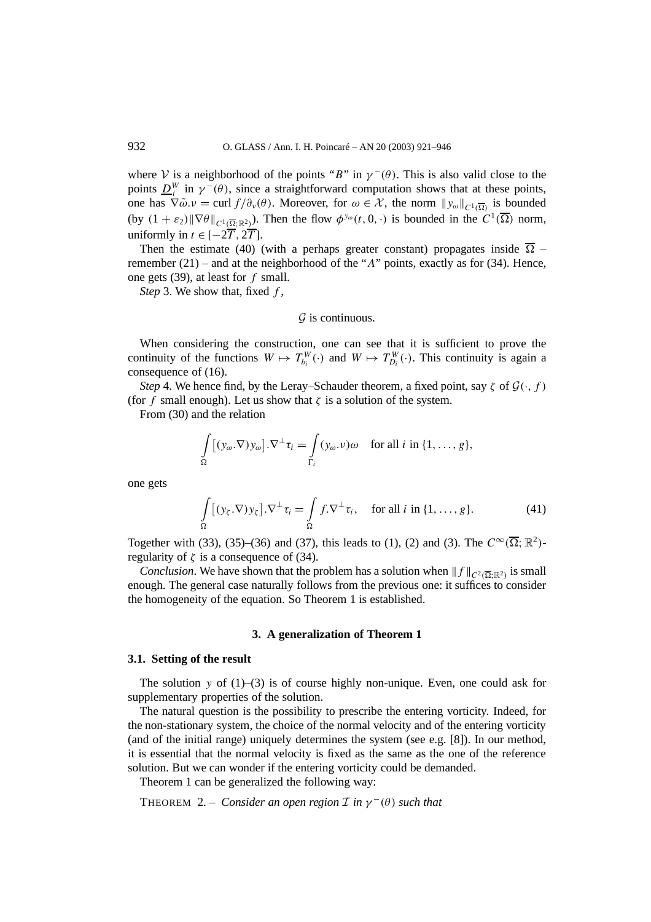where V is a neighborhood of the points "*B*" in  $\gamma$ <sup>-</sup>( $\theta$ ). This is also valid close to the points  $\underline{D}_i^W$  in  $\gamma^-(\theta)$ , since a straightforward computation shows that at these points, one has  $\nabla \tilde{\omega} \cdot \nu = \text{curl } f/\partial_{\nu}(\theta)$ . Moreover, for  $\omega \in \mathcal{X}$ , the norm  $||y_{\omega}||_{C^{1}(\overline{\Omega})}$  is bounded (by  $(1 + \varepsilon_2) \|\nabla \theta\|_{C^1(\overline{\Omega};\mathbb{R}^2)}$ ). Then the flow  $\phi^{y_\omega}(t,0,\cdot)$  is bounded in the  $C^1(\overline{\Omega})$  norm, uniformly in  $t \in [-2\overline{T}, 2\overline{T}]$ .

Then the estimate (40) (with a perhaps greater constant) propagates inside  $\overline{\Omega}$  – remember (21) – and at the neighborhood of the "*A*" points, exactly as for (34). Hence, one gets (39), at least for *f* small.

*Step* 3. We show that, fixed *f* ,

#### $G$  is continuous.

When considering the construction, one can see that it is sufficient to prove the continuity of the functions  $W \mapsto T_{b_i}^W(\cdot)$  and  $W \mapsto T_{D_i}^W(\cdot)$ . This continuity is again a consequence of (16).

*Step* 4. We hence find, by the Leray–Schauder theorem, a fixed point, say  $\zeta$  of  $\mathcal{G}(\cdot, f)$ (for *f* small enough). Let us show that  $\zeta$  is a solution of the system.

From (30) and the relation

$$
\int_{\Omega} [(y_{\omega}.\nabla)y_{\omega}].\nabla^{\perp} \tau_i = \int_{\Gamma_i} (y_{\omega}.v) \omega \text{ for all } i \text{ in } \{1, ..., g\},\
$$

one gets

$$
\int_{\Omega} [(y_{\zeta}.\nabla) y_{\zeta}] . \nabla^{\perp} \tau_{i} = \int_{\Omega} f . \nabla^{\perp} \tau_{i}, \quad \text{for all } i \text{ in } \{1, ..., g\}. \tag{41}
$$

Together with (33), (35)–(36) and (37), this leads to (1), (2) and (3). The  $C^{\infty}(\overline{\Omega}; \mathbb{R}^2)$ regularity of  $\zeta$  is a consequence of (34).

*Conclusion*. We have shown that the problem has a solution when  $||f||_{C^2(\overline{\Omega}, \mathbb{R}^2)}$  is small enough. The general case naturally follows from the previous one: it suffices to consider the homogeneity of the equation. So Theorem 1 is established.

#### **3. A generalization of Theorem 1**

#### **3.1. Setting of the result**

The solution *y* of (1)–(3) is of course highly non-unique. Even, one could ask for supplementary properties of the solution.

The natural question is the possibility to prescribe the entering vorticity. Indeed, for the non-stationary system, the choice of the normal velocity and of the entering vorticity (and of the initial range) uniquely determines the system (see e.g. [8]). In our method, it is essential that the normal velocity is fixed as the same as the one of the reference solution. But we can wonder if the entering vorticity could be demanded.

Theorem 1 can be generalized the following way:

THEOREM 2. – *Consider an open region*  $\mathcal{I}$  *in*  $\gamma$ <sup>-</sup> $(\theta)$  *such that*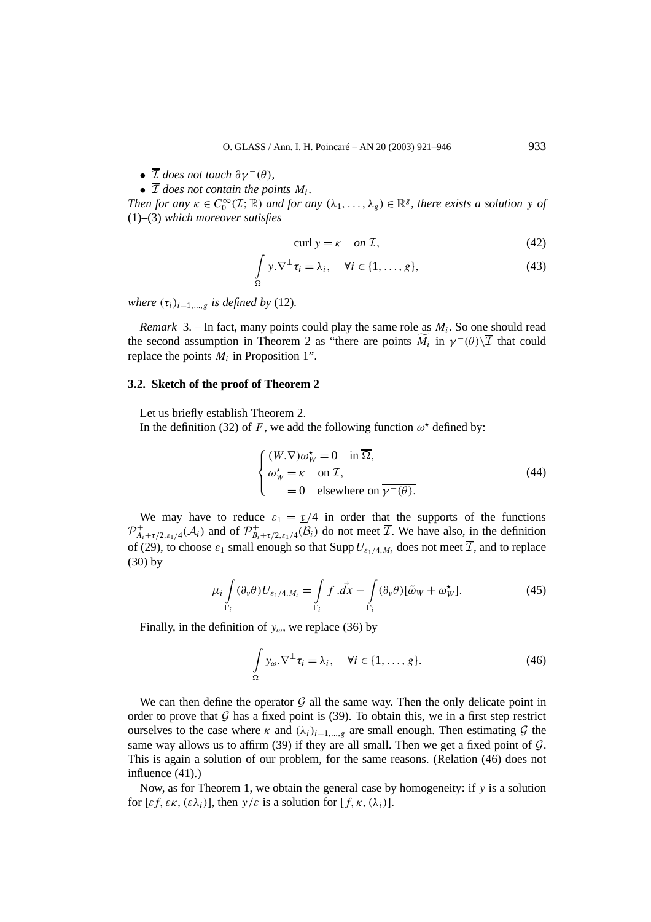- $\overline{\mathcal{I}}$  *does not touch*  $\partial \gamma^-(\theta)$ *,*
- $\overline{\mathcal{I}}$  *does not contain the points M<sub>i</sub>*.

*Then for any*  $\kappa \in C_0^\infty(\mathcal{I};\mathbb{R})$  *and for any*  $(\lambda_1,\ldots,\lambda_g) \in \mathbb{R}^g$ , there exists a solution y of (1)–(3) *which moreover satisfies*

$$
curl y = \kappa \quad on \mathcal{I}, \tag{42}
$$

$$
\int_{\Omega} y.\nabla^{\perp} \tau_i = \lambda_i, \quad \forall i \in \{1, ..., g\},
$$
\n(43)

*where*  $(\tau_i)_{i=1,\dots,q}$  *is defined by* (12).

*Remark* 3. – In fact, many points could play the same role as  $M_i$ . So one should read the second assumption in Theorem 2 as "there are points  $\widetilde{M}_i$  in  $\gamma^-(\theta)\setminus\overline{T}$  that could replace the points  $M_i$  in Proposition 1".

#### **3.2. Sketch of the proof of Theorem 2**

Let us briefly establish Theorem 2.

In the definition (32) of *F*, we add the following function  $\omega^*$  defined by:

$$
\begin{cases}\n(W.\nabla)\omega_{W}^{*} = 0 & \text{in }\overline{\Omega}, \\
\omega_{W}^{*} = \kappa \quad \text{on } \mathcal{I}, \\
= 0 & \text{elsewhere on }\overline{\gamma^{-}(\theta)}. \n\end{cases}
$$
\n(44)

We may have to reduce  $\varepsilon_1 = \frac{\tau}{4}$  in order that the supports of the functions  $\mathcal{P}^+_{A_i+\tau/2,\varepsilon_1/4}(\mathcal{A}_i)$  and of  $\mathcal{P}^+_{B_i+\tau/2,\varepsilon_1/4}(\mathcal{B}_i)$  do not meet  $\overline{\mathcal{I}}$ . We have also, in the definition of (29), to choose  $\varepsilon_1$  small enough so that Supp  $U_{\varepsilon_1/4,M_i}$  does not meet  $\overline{\mathcal{I}}$ , and to replace (30) by

$$
\mu_i \int_{\Gamma_i} (\partial_\nu \theta) U_{\varepsilon_1/4, M_i} = \int_{\Gamma_i} f \cdot \vec{dx} - \int_{\Gamma_i} (\partial_\nu \theta) [\tilde{\omega}_W + \omega_W^{\star}]. \tag{45}
$$

Finally, in the definition of  $y_\omega$ , we replace (36) by

$$
\int_{\Omega} y_{\omega}.\nabla^{\perp} \tau_i = \lambda_i, \quad \forall i \in \{1, ..., g\}.
$$
\n(46)

We can then define the operator  $G$  all the same way. Then the only delicate point in order to prove that  $G$  has a fixed point is (39). To obtain this, we in a first step restrict ourselves to the case where  $\kappa$  and  $(\lambda_i)_{i=1,\dots,g}$  are small enough. Then estimating  $\mathcal G$  the same way allows us to affirm  $(39)$  if they are all small. Then we get a fixed point of  $G$ . This is again a solution of our problem, for the same reasons. (Relation (46) does not influence (41).)

Now, as for Theorem 1, we obtain the general case by homogeneity: if *y* is a solution for  $[\varepsilon f, \varepsilon \kappa, (\varepsilon \lambda_i)]$ , then  $y/\varepsilon$  is a solution for  $[f, \kappa, (\lambda_i)]$ .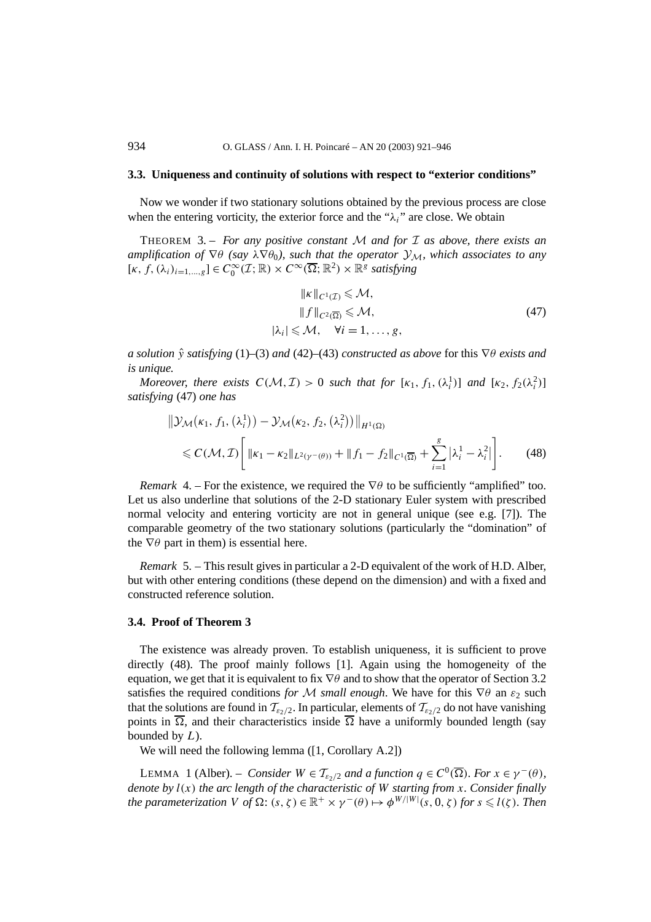#### **3.3. Uniqueness and continuity of solutions with respect to "exterior conditions"**

Now we wonder if two stationary solutions obtained by the previous process are close when the entering vorticity, the exterior force and the " $\lambda_i$ " are close. We obtain

THEOREM 3. – *For any positive constant* M *and for* I *as above, there exists an amplification of*  $\nabla \theta$  *(say*  $\lambda \nabla \theta_0$ *), such that the operator*  $\mathcal{Y}_M$ *, which associates to any*  $[\kappa, f, (\lambda_i)_{i=1,\dots,g}] \in C_0^{\infty}(\mathcal{I}; \mathbb{R}) \times C^{\infty}(\overline{\Omega}; \mathbb{R}^2) \times \mathbb{R}^g$  *satisfying* 

$$
\|k\|_{C^1(\mathcal{I})} \leqslant \mathcal{M},
$$
  
\n
$$
\|f\|_{C^2(\overline{\Omega})} \leqslant \mathcal{M},
$$
  
\n
$$
|\lambda_i| \leqslant \mathcal{M}, \quad \forall i = 1, ..., g,
$$
  
\n(47)

*a solution y*ˆ *satisfying* (1)–(3) *and* (42)–(43) *constructed as above* for this ∇*θ exists and is unique.*

*Moreover, there exists*  $C(\mathcal{M}, \mathcal{I}) > 0$  *such that for*  $[\kappa_1, f_1, (\lambda_i^1)]$  *and*  $[\kappa_2, f_2(\lambda_i^2)]$ *satisfying* (47) *one has*

$$
\|\mathcal{Y}_{\mathcal{M}}(\kappa_{1}, f_{1}, (\lambda_{i}^{1})) - \mathcal{Y}_{\mathcal{M}}(\kappa_{2}, f_{2}, (\lambda_{i}^{2}))\|_{H^{1}(\Omega)}
$$
  
\$\leq C(\mathcal{M}, \mathcal{I})\$ 
$$
\left[\|\kappa_{1} - \kappa_{2}\|_{L^{2}(\gamma^{-}(\theta))} + \|f_{1} - f_{2}\|_{C^{1}(\overline{\Omega})} + \sum_{i=1}^{g} |\lambda_{i}^{1} - \lambda_{i}^{2}|\right].
$$
 (48)

*Remark* 4. – For the existence, we required the  $\nabla \theta$  to be sufficiently "amplified" too. Let us also underline that solutions of the 2-D stationary Euler system with prescribed normal velocity and entering vorticity are not in general unique (see e.g. [7]). The comparable geometry of the two stationary solutions (particularly the "domination" of the  $\nabla \theta$  part in them) is essential here.

*Remark* 5. – This result gives in particular a 2-D equivalent of the work of H.D. Alber, but with other entering conditions (these depend on the dimension) and with a fixed and constructed reference solution.

#### **3.4. Proof of Theorem 3**

The existence was already proven. To establish uniqueness, it is sufficient to prove directly (48). The proof mainly follows [1]. Again using the homogeneity of the equation, we get that it is equivalent to fix ∇*θ* and to show that the operator of Section 3.2 satisfies the required conditions *for* M *small enough*. We have for this  $\nabla \theta$  an  $\varepsilon_2$  such that the solutions are found in  $\mathcal{T}_{\epsilon_2/2}$ . In particular, elements of  $\mathcal{T}_{\epsilon_2/2}$  do not have vanishing points in  $\overline{\Omega}$ , and their characteristics inside  $\overline{\Omega}$  have a uniformly bounded length (say bounded by *L*).

We will need the following lemma ([1, Corollary A.2])

**LEMMA** 1 (Alber). – *Consider*  $W \in T_{\epsilon_2/2}$  *and a function*  $q \in C^0(\overline{\Omega})$ *. For*  $x \in \gamma^-(\theta)$ *, denote by l(x) the arc length of the characteristic of W starting from x. Consider finally the parameterization*  $V$  *of*  $\Omega$ :  $(s, \zeta) \in \mathbb{R}^+ \times \gamma^-(\theta) \mapsto \phi^{W/|W|}(s, 0, \zeta)$  for  $s \leq l(\zeta)$ . Then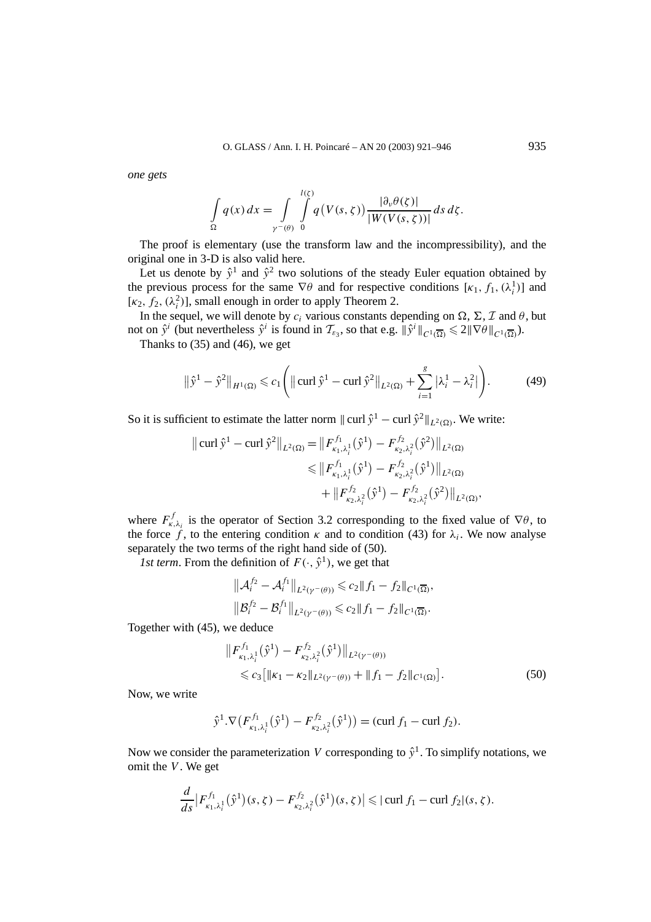*one gets*

$$
\int\limits_{\Omega} q(x) dx = \int\limits_{\gamma^-(\theta)} \int\limits_0^{l(\zeta)} q(V(s,\zeta)) \frac{|\partial_{\nu}\theta(\zeta)|}{|W(V(s,\zeta))|} ds d\zeta.
$$

The proof is elementary (use the transform law and the incompressibility), and the original one in 3-D is also valid here.

Let us denote by  $\hat{y}^1$  and  $\hat{y}^2$  two solutions of the steady Euler equation obtained by the previous process for the same  $\nabla \theta$  and for respective conditions  $[\kappa_1, f_1, (\lambda_i^1)]$  and [ $\kappa_2$ ,  $f_2$ ,  $(\lambda_i^2)$ ], small enough in order to apply Theorem 2.

In the sequel, we will denote by  $c_i$  various constants depending on  $\Omega$ ,  $\Sigma$ ,  $\mathcal{I}$  and  $\theta$ , but not on  $\hat{y}^i$  (but nevertheless  $\hat{y}^i$  is found in  $\mathcal{T}_{\varepsilon_3}$ , so that e.g.  $\|\hat{y}^i\|_{C^1(\overline{\Omega})} \leq 2\|\nabla\theta\|_{C^1(\overline{\Omega})}$ ).

Thanks to (35) and (46), we get

$$
\|\hat{y}^{1} - \hat{y}^{2}\|_{H^{1}(\Omega)} \leq c_{1} \left( \left\| \operatorname{curl} \hat{y}^{1} - \operatorname{curl} \hat{y}^{2} \right\|_{L^{2}(\Omega)} + \sum_{i=1}^{g} \left| \lambda_{i}^{1} - \lambda_{i}^{2} \right| \right). \tag{49}
$$

So it is sufficient to estimate the latter norm  $\|\text{curl } \hat{y}^1 - \text{curl } \hat{y}^2\|_{L^2(\Omega)}$ . We write:

$$
\| \operatorname{curl} \hat{y}^1 - \operatorname{curl} \hat{y}^2 \|_{L^2(\Omega)} = \| F_{\kappa_1, \lambda_i^1}^{f_1}(\hat{y}^1) - F_{\kappa_2, \lambda_i^2}^{f_2}(\hat{y}^2) \|_{L^2(\Omega)}
$$
  

$$
\leq \| F_{\kappa_1, \lambda_i^1}^{f_1}(\hat{y}^1) - F_{\kappa_2, \lambda_i^2}^{f_2}(\hat{y}^1) \|_{L^2(\Omega)}
$$
  

$$
+ \| F_{\kappa_2, \lambda_i^2}^{f_2}(\hat{y}^1) - F_{\kappa_2, \lambda_i^2}^{f_2}(\hat{y}^2) \|_{L^2(\Omega)},
$$

where  $F_{\kappa,\lambda_i}^f$  is the operator of Section 3.2 corresponding to the fixed value of  $\nabla\theta$ , to the force f, to the entering condition  $\kappa$  and to condition (43) for  $\lambda_i$ . We now analyse separately the two terms of the right hand side of (50).

*1st term.* From the definition of  $F(\cdot, \hat{y}^1)$ , we get that

$$
\|\mathcal{A}_i^{f_2} - \mathcal{A}_i^{f_1}\|_{L^2(\gamma^-(\theta))} \leq c_2 \|f_1 - f_2\|_{C^1(\overline{\Omega})},
$$
  

$$
\|\mathcal{B}_i^{f_2} - \mathcal{B}_i^{f_1}\|_{L^2(\gamma^-(\theta))} \leq c_2 \|f_1 - f_2\|_{C^1(\overline{\Omega})}.
$$

Together with (45), we deduce

$$
\|F_{\kappa_1,\lambda_i^1}^{f_1}(\hat{y}^1) - F_{\kappa_2,\lambda_i^2}^{f_2}(\hat{y}^1)\|_{L^2(\gamma - (\theta))} \n\leq c_3 \left[ \|\kappa_1 - \kappa_2\|_{L^2(\gamma - (\theta))} + \|f_1 - f_2\|_{C^1(\Omega)} \right].
$$
\n(50)

Now, we write

$$
\hat{\mathrm{y}}^1.\nabla \big( F_{\kappa_1,\lambda_i^1}^{f_1} \big( \hat{\mathrm{y}}^1 \big) - F_{\kappa_2,\lambda_i^2}^{f_2} \big( \hat{\mathrm{y}}^1 \big) \big) = (\text{curl } f_1 - \text{curl } f_2).
$$

Now we consider the parameterization *V* corresponding to  $\hat{y}^1$ . To simplify notations, we omit the *V*. We get

$$
\frac{d}{ds}\big|F_{\kappa_1,\lambda_i^1}^{f_1}(\hat{y}^1)(s,\zeta)-F_{\kappa_2,\lambda_i^2}^{f_2}(\hat{y}^1)(s,\zeta)\big|\leqslant |\operatorname{curl} f_1-\operatorname{curl} f_2|(s,\zeta).
$$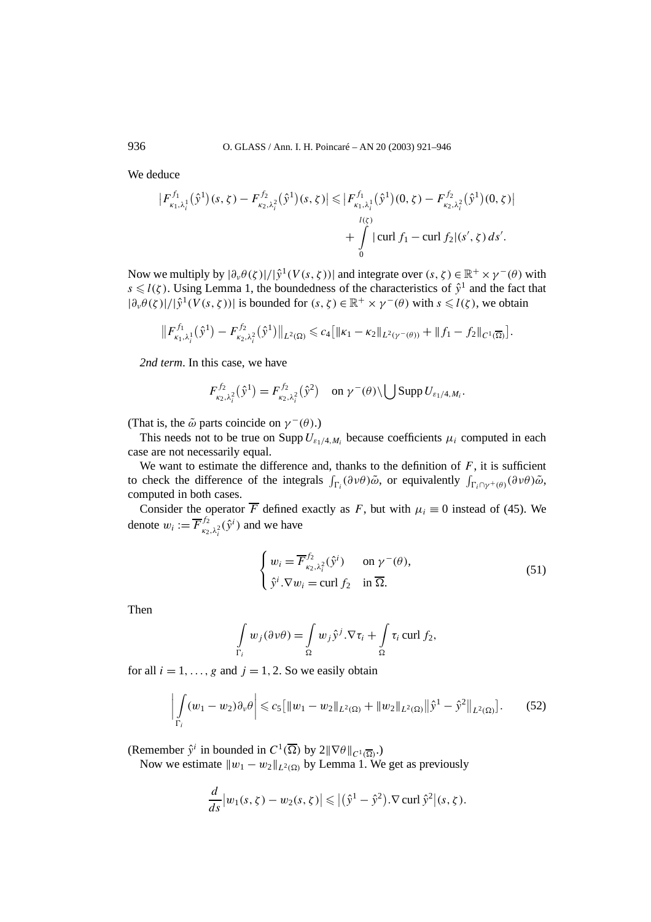936 O. GLASS / Ann. I. H. Poincaré – AN 20 (2003) 921–946

We deduce

$$
\left| F_{\kappa_1,\lambda_i^1}^{f_1}(\hat{y}^1)(s,\zeta) - F_{\kappa_2,\lambda_i^2}^{f_2}(\hat{y}^1)(s,\zeta) \right| \leqslant \left| F_{\kappa_1,\lambda_i^1}^{f_1}(\hat{y}^1)(0,\zeta) - F_{\kappa_2,\lambda_i^2}^{f_2}(\hat{y}^1)(0,\zeta) \right|
$$
  
+ 
$$
\int_{0}^{l(\zeta)} |\operatorname{curl} f_1 - \operatorname{curl} f_2|(s',\zeta) \, ds'.
$$

Now we multiply by  $|\partial_{\nu}\theta(\zeta)|/|\hat{y}^1(V(s,\zeta))|$  and integrate over  $(s,\zeta) \in \mathbb{R}^+ \times \gamma^-(\theta)$  with  $s \le l(\zeta)$ . Using Lemma 1, the boundedness of the characteristics of  $\hat{y}^1$  and the fact that  $|\partial_{\nu}\theta(\zeta)|/|\hat{y}^{1}(V(s,\zeta))|$  is bounded for  $(s,\zeta) \in \mathbb{R}^{+} \times \gamma^{-}(\theta)$  with  $s \leq l(\zeta)$ , we obtain

$$
\|F_{\kappa_1,\lambda_i^1}^{f_1}(\hat{y}^1) - F_{\kappa_2,\lambda_i^2}^{f_2}(\hat{y}^1)\|_{L^2(\Omega)} \leq c_4 \big[\|\kappa_1 - \kappa_2\|_{L^2(\gamma^-(\theta))} + \|f_1 - f_2\|_{C^1(\overline{\Omega})}\big].
$$

*2nd term*. In this case, we have

$$
F_{\kappa_2,\lambda_i^2}^{f_2}(\hat{\mathrm{y}}^1)=F_{\kappa_2,\lambda_i^2}^{f_2}(\hat{\mathrm{y}}^2)\quad\text{on }\gamma^-(\theta)\setminus\bigcup\text{Supp }U_{\varepsilon_1/4,M_i}.
$$

(That is, the  $\tilde{\omega}$  parts coincide on  $\gamma^-(\theta)$ .)

This needs not to be true on Supp  $U_{\varepsilon_1/4,M_i}$  because coefficients  $\mu_i$  computed in each case are not necessarily equal.

We want to estimate the difference and, thanks to the definition of  $F$ , it is sufficient to check the difference of the integrals  $\int_{\Gamma_i} (\partial \nu \theta) \tilde{\omega}$ , or equivalently  $\int_{\Gamma_i \cap \gamma^+(\theta)} (\partial \nu \theta) \tilde{\omega}$ , computed in both cases.

Consider the operator  $\overline{F}$  defined exactly as *F*, but with  $\mu_i \equiv 0$  instead of (45). We denote  $w_i := \overline{F}_{\kappa_2, \lambda_i^2}^{f_2}(\hat{y}^i)$  and we have

$$
\begin{cases} w_i = \overline{F}_{\kappa_2, \lambda_i^2}^{f_2}(\hat{y}^i) & \text{on } \gamma^-(\theta), \\ \hat{y}^i \cdot \nabla w_i = \text{curl } f_2 & \text{in } \overline{\Omega}. \end{cases}
$$
 (51)

Then

$$
\int_{\Gamma_i} w_j(\partial \nu \theta) = \int_{\Omega} w_j \hat{\nu}^j \cdot \nabla \tau_i + \int_{\Omega} \tau_i \operatorname{curl} f_2,
$$

for all  $i = 1, \ldots, g$  and  $j = 1, 2$ . So we easily obtain

$$
\left| \int\limits_{\Gamma_i} (w_1 - w_2) \partial_v \theta \right| \leqslant c_5 \left[ \|w_1 - w_2\|_{L^2(\Omega)} + \|w_2\|_{L^2(\Omega)} \|\hat{y}^1 - \hat{y}^2\|_{L^2(\Omega)} \right]. \tag{52}
$$

(Remember  $\hat{y}^i$  in bounded in  $C^1(\overline{\Omega})$  by  $2\|\nabla\theta\|_{C^1(\overline{\Omega})}$ .)

Now we estimate  $||w_1 - w_2||_{L^2(\Omega)}$  by Lemma 1. We get as previously

$$
\frac{d}{ds}|w_1(s,\zeta)-w_2(s,\zeta)| \leqslant |(\hat{y}^1-\hat{y}^2).\nabla \operatorname{curl} \hat{y}^2|(s,\zeta).
$$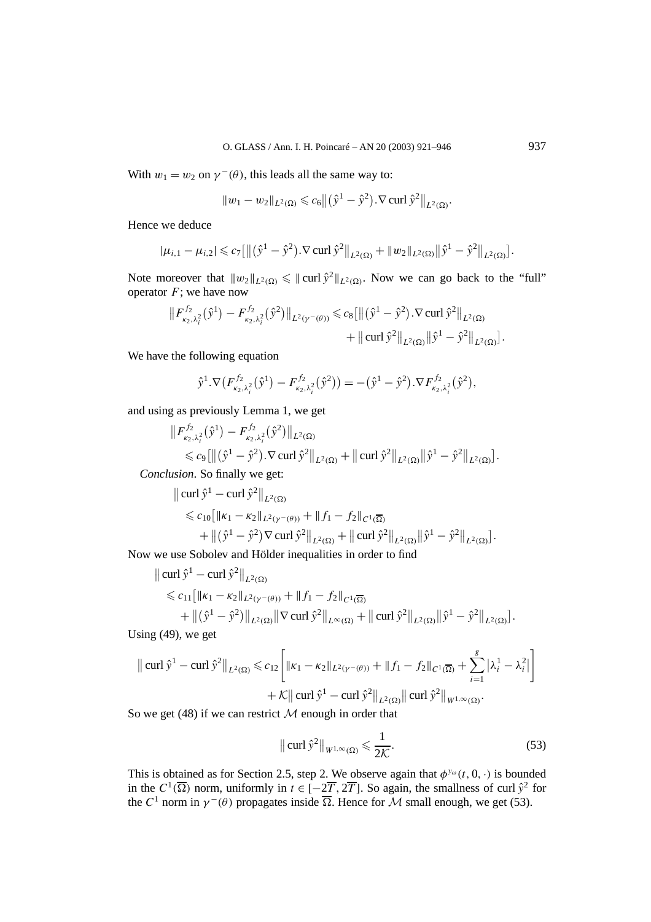With  $w_1 = w_2$  on  $\gamma^-(\theta)$ , this leads all the same way to:

$$
||w_1 - w_2||_{L^2(\Omega)} \leq c_6 ||(\hat{y}^1 - \hat{y}^2) . \nabla \operatorname{curl} \hat{y}^2||_{L^2(\Omega)}.
$$

Hence we deduce

$$
|\mu_{i,1} - \mu_{i,2}| \leqslant c_7 \left[ \left\| (\hat{y}^1 - \hat{y}^2) . \nabla \operatorname{curl} \hat{y}^2 \right\|_{L^2(\Omega)} + \|w_2\|_{L^2(\Omega)} \|\hat{y}^1 - \hat{y}^2\|_{L^2(\Omega)} \right].
$$

Note moreover that  $||w_2||_{L^2(\Omega)} \le || \text{curl } \hat{y}^2 ||_{L^2(\Omega)}$ . Now we can go back to the "full" operator  $F$ ; we have now

$$
\|F_{\kappa_2,\lambda_i^2}^{f_2}(\hat{y}^1) - F_{\kappa_2,\lambda_i^2}^{f_2}(\hat{y}^2)\|_{L^2(\gamma^-(\theta))} \leq c_8 [\|(\hat{y}^1 - \hat{y}^2) . \nabla \operatorname{curl} \hat{y}^2\|_{L^2(\Omega)} + \|\operatorname{curl} \hat{y}^2\|_{L^2(\Omega)} \|\hat{y}^1 - \hat{y}^2\|_{L^2(\Omega)}].
$$

We have the following equation

$$
\hat{y}^1 \cdot \nabla \big( F_{\kappa_2, \lambda_i^2}^{f_2} (\hat{y}^1) - F_{\kappa_2, \lambda_i^2}^{f_2} (\hat{y}^2) \big) = -(\hat{y}^1 - \hat{y}^2) \cdot \nabla F_{\kappa_2, \lambda_i^2}^{f_2} (\hat{y}^2),
$$

and using as previously Lemma 1, we get

$$
\|F_{\kappa_2,\lambda_i^2}^{f_2}(\hat{y}^1) - F_{\kappa_2,\lambda_i^2}^{f_2}(\hat{y}^2)\|_{L^2(\Omega)} \le c_9 \left[ \left\| (\hat{y}^1 - \hat{y}^2) . \nabla \operatorname{curl} \hat{y}^2 \right\|_{L^2(\Omega)} + \left\| \operatorname{curl} \hat{y}^2 \right\|_{L^2(\Omega)} \left\| \hat{y}^1 - \hat{y}^2 \right\|_{L^2(\Omega)} \right].
$$
  
usion. So finally we get:

*Conclusion*. So finally we get:

$$
\|\operatorname{curl} \hat{y}^1 - \operatorname{curl} \hat{y}^2\|_{L^2(\Omega)} \n\leq c_{10} [\|\kappa_1 - \kappa_2\|_{L^2(\gamma^-(\theta))} + \|f_1 - f_2\|_{C^1(\overline{\Omega})} \n+ \|(\hat{y}^1 - \hat{y}^2) \nabla \operatorname{curl} \hat{y}^2\|_{L^2(\Omega)} + \|\operatorname{curl} \hat{y}^2\|_{L^2(\Omega)} \|\hat{y}^1 - \hat{y}^2\|_{L^2(\Omega)} ]
$$

Now we use Sobolev and Hölder inequalities in order to find

$$
\|\operatorname{curl} \hat{y}^1 - \operatorname{curl} \hat{y}^2\|_{L^2(\Omega)} \n\leq c_{11} [\|\kappa_1 - \kappa_2\|_{L^2(\gamma - (\theta))} + \|f_1 - f_2\|_{C^1(\overline{\Omega})} \n+ \|(\hat{y}^1 - \hat{y}^2)\|_{L^2(\Omega)} \|\nabla \operatorname{curl} \hat{y}^2\|_{L^{\infty}(\Omega)} + \|\operatorname{curl} \hat{y}^2\|_{L^2(\Omega)} \|\hat{y}^1 - \hat{y}^2\|_{L^2(\Omega)} ]
$$

Using (49), we get

$$
\|\operatorname{curl} \hat{y}^{1} - \operatorname{curl} \hat{y}^{2}\|_{L^{2}(\Omega)} \leq c_{12} \left[ \|\kappa_{1} - \kappa_{2}\|_{L^{2}(\gamma^{-}(\theta))} + \|f_{1} - f_{2}\|_{C^{1}(\overline{\Omega})} + \sum_{i=1}^{g} |\lambda_{i}^{1} - \lambda_{i}^{2}| \right] + \mathcal{K} \|\operatorname{curl} \hat{y}^{1} - \operatorname{curl} \hat{y}^{2}\|_{L^{2}(\Omega)} \|\operatorname{curl} \hat{y}^{2}\|_{W^{1,\infty}(\Omega)}.
$$
  
2. We get (48) if we can restrict *M* enough in order that

So we get  $(48)$  if we can restrict  $M$  enough in order that

$$
\|\operatorname{curl}\hat{\mathrm{y}}^2\|_{W^{1,\infty}(\Omega)} \leq \frac{1}{2\mathcal{K}}.\tag{53}
$$

This is obtained as for Section 2.5, step 2. We observe again that  $\phi^{y_\omega}(t, 0, \cdot)$  is bounded in the  $C^1(\overline{\Omega})$  norm, uniformly in  $t \in [-2\overline{T}, 2\overline{T}]$ . So again, the smallness of curl  $\hat{y}^2$  for the  $C^1$  norm in  $\gamma^-(\theta)$  propagates inside  $\overline{\Omega}$ . Hence for M small enough, we get (53).

*.*

*.*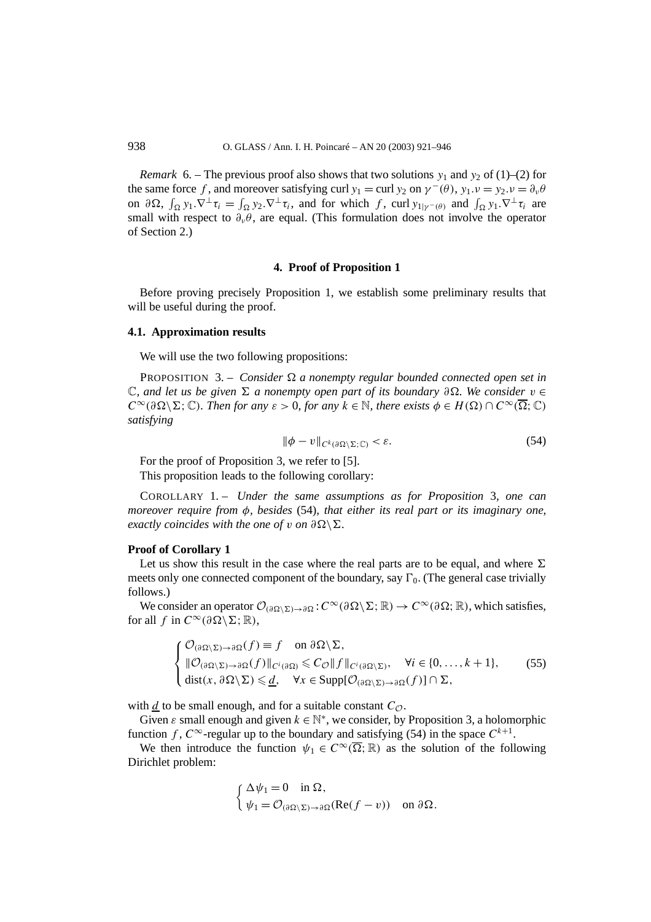*Remark* 6. – The previous proof also shows that two solutions  $y_1$  and  $y_2$  of (1)–(2) for the same force *f*, and moreover satisfying curl  $y_1 = \text{curl } y_2$  on  $\gamma^-(\theta)$ ,  $y_1 \cdot \nu = y_2 \cdot \nu = \partial_{\nu} \theta$ on  $\partial \Omega$ ,  $\int_{\Omega} y_1 \cdot \nabla^{\perp} \tau_i = \int_{\Omega} y_2 \cdot \nabla^{\perp} \tau_i$ , and for which *f*, curl  $y_{1|\gamma}(\theta)$  and  $\int_{\Omega} y_1 \cdot \nabla^{\perp} \tau_i$  are small with respect to  $\partial_{\nu}\theta$ , are equal. (This formulation does not involve the operator of Section 2.)

#### **4. Proof of Proposition 1**

Before proving precisely Proposition 1, we establish some preliminary results that will be useful during the proof.

#### **4.1. Approximation results**

We will use the two following propositions:

**PROPOSITION** 3. – *Consider*  $\Omega$  *a nonempty regular bounded connected open set in* C*, and let us be given - a nonempty open part of its boundary ∂. We consider v* ∈  $C^{\infty}(\partial \Omega \setminus \Sigma; \mathbb{C})$ *. Then for any*  $\varepsilon > 0$ *, for any*  $k \in \mathbb{N}$ *, there exists*  $\phi \in H(\Omega) \cap C^{\infty}(\overline{\Omega}; \mathbb{C})$ *satisfying*

$$
\|\phi - v\|_{C^k(\partial\Omega\setminus\Sigma; \mathbb{C})} < \varepsilon. \tag{54}
$$

For the proof of Proposition 3, we refer to [5].

This proposition leads to the following corollary:

COROLLARY 1. – *Under the same assumptions as for Proposition* 3*, one can moreover require from φ, besides* (54)*, that either its real part or its imaginary one, exactly coincides with the one of v on*  $\partial \Omega \setminus \Sigma$ .

#### **Proof of Corollary 1**

Let us show this result in the case where the real parts are to be equal, and where  $\Sigma$ meets only one connected component of the boundary, say  $\Gamma_0$ . (The general case trivially follows.)

We consider an operator  $\mathcal{O}_{(\partial \Omega \setminus \Sigma) \to \partial \Omega}$ :  $C^{\infty}(\partial \Omega \setminus \Sigma; \mathbb{R}) \to C^{\infty}(\partial \Omega; \mathbb{R})$ , which satisfies, for all *f* in  $C^{\infty}(\partial \Omega \setminus \Sigma; \mathbb{R})$ ,

$$
\begin{cases} \mathcal{O}_{(\partial\Omega\setminus\Sigma)\to\partial\Omega}(f) \equiv f \quad \text{on } \partial\Omega\setminus\Sigma, \\ \|\mathcal{O}_{(\partial\Omega\setminus\Sigma)\to\partial\Omega}(f)\|_{C^i(\partial\Omega)} \leq C_{\mathcal{O}}\|f\|_{C^i(\partial\Omega\setminus\Sigma)}, \quad \forall i \in \{0,\ldots,k+1\}, \\ \text{dist}(x,\partial\Omega\setminus\Sigma) \leq \underline{d}, \quad \forall x \in \text{Supp}[\mathcal{O}_{(\partial\Omega\setminus\Sigma)\to\partial\Omega}(f)] \cap \Sigma, \end{cases} \tag{55}
$$

with *d* to be small enough, and for a suitable constant  $C_{\mathcal{O}}$ .

Given  $\varepsilon$  small enough and given  $k \in \mathbb{N}^*$ , we consider, by Proposition 3, a holomorphic function *f*,  $C^{\infty}$ -regular up to the boundary and satisfying (54) in the space  $C^{k+1}$ .

We then introduce the function  $\psi_1 \in C^\infty(\overline{\Omega};\mathbb{R})$  as the solution of the following Dirichlet problem:

$$
\begin{cases} \Delta \psi_1 = 0 \quad \text{in } \Omega, \\ \psi_1 = \mathcal{O}_{(\partial \Omega \setminus \Sigma) \to \partial \Omega}(\text{Re}(f - v)) \quad \text{on } \partial \Omega. \end{cases}
$$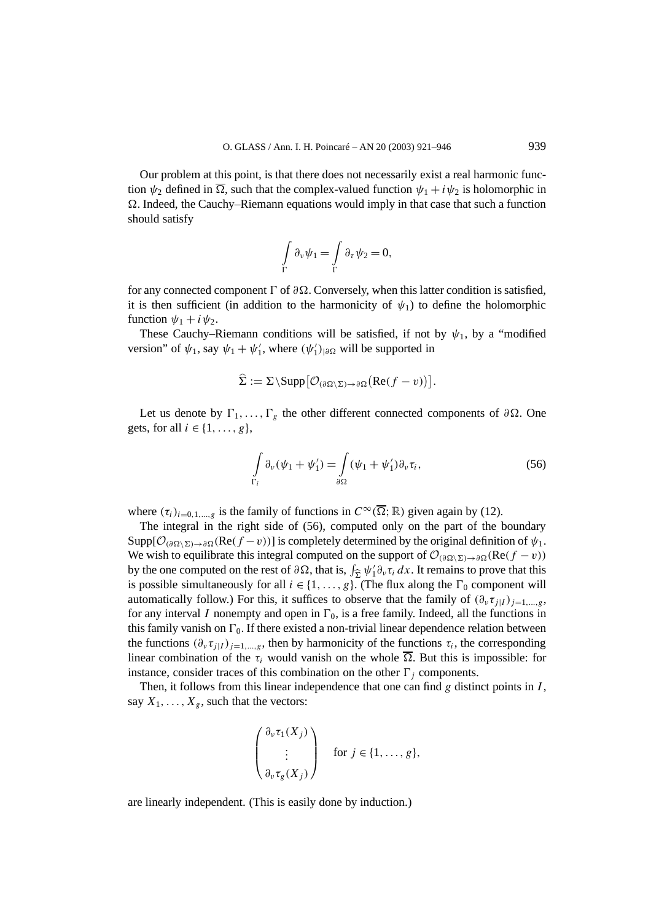Our problem at this point, is that there does not necessarily exist a real harmonic function  $\psi_2$  defined in  $\overline{\Omega}$ , such that the complex-valued function  $\psi_1 + i \psi_2$  is holomorphic in . Indeed, the Cauchy–Riemann equations would imply in that case that such a function should satisfy

$$
\int\limits_{\Gamma} \partial_{\nu} \psi_1 = \int\limits_{\Gamma} \partial_{\tau} \psi_2 = 0,
$$

for any connected component  $\Gamma$  of  $\partial\Omega$ . Conversely, when this latter condition is satisfied, it is then sufficient (in addition to the harmonicity of  $\psi_1$ ) to define the holomorphic function  $\psi_1 + i\psi_2$ .

These Cauchy–Riemann conditions will be satisfied, if not by  $\psi_1$ , by a "modified" version" of  $\psi_1$ , say  $\psi_1 + \psi'_1$ , where  $(\psi'_1)_{|\partial\Omega}$  will be supported in

$$
\widehat{\Sigma} := \Sigma \setminus \mathrm{Supp} \big[ \mathcal{O}_{(\partial \Omega \setminus \Sigma) \to \partial \Omega} \big( \mathrm{Re}(f - v) \big) \big].
$$

Let us denote by  $\Gamma_1, \ldots, \Gamma_g$  the other different connected components of *∂* $\Omega$ . One gets, for all  $i \in \{1, \ldots, g\}$ ,

$$
\int_{\Gamma_i} \partial_\nu (\psi_1 + \psi'_1) = \int_{\partial \Omega} (\psi_1 + \psi'_1) \partial_\nu \tau_i,
$$
\n(56)

where  $(\tau_i)_{i=0,1,\dots,g}$  is the family of functions in  $C^{\infty}(\overline{\Omega};\mathbb{R})$  given again by (12).

The integral in the right side of (56), computed only on the part of the boundary  $\text{Supp}[\mathcal{O}_{(\partial \Omega \setminus \Sigma) \to \partial \Omega}(\text{Re}(f - v))]$  is completely determined by the original definition of  $\psi_1$ . We wish to equilibrate this integral computed on the support of  $\mathcal{O}_{(\partial \Omega \setminus \Sigma) \to \partial \Omega}(\text{Re}(f - v))$ by the one computed on the rest of  $\partial \Omega$ , that is,  $\int_{\Sigma} \psi_1' \partial_{\nu} \tau_i dx$ . It remains to prove that this is possible simultaneously for all  $i \in \{1, ..., p\}$ . (The flux along the  $\Gamma_0$  component will is possible simultaneously for all  $i \in \{1, \ldots, g\}$ . (The flux along the  $\Gamma_0$  component will automatically follow.) For this, it suffices to observe that the family of  $(\partial_\nu \tau_{i|I})_{i=1,\dots,g}$ , for any interval *I* nonempty and open in  $\Gamma_0$ , is a free family. Indeed, all the functions in this family vanish on  $\Gamma_0$ . If there existed a non-trivial linear dependence relation between the functions  $(\partial_\nu \tau_{i|I})_{i=1,\dots,g}$ , then by harmonicity of the functions  $\tau_i$ , the corresponding linear combination of the  $\tau_i$  would vanish on the whole  $\overline{\Omega}$ . But this is impossible: for instance, consider traces of this combination on the other  $\Gamma_i$  components.

Then, it follows from this linear independence that one can find *g* distinct points in *I* , say  $X_1, \ldots, X_g$ , such that the vectors:

$$
\begin{pmatrix} \partial_{\nu} \tau_1(X_j) \\ \vdots \\ \partial_{\nu} \tau_g(X_j) \end{pmatrix} \quad \text{for } j \in \{1, \ldots, g\},
$$

are linearly independent. (This is easily done by induction.)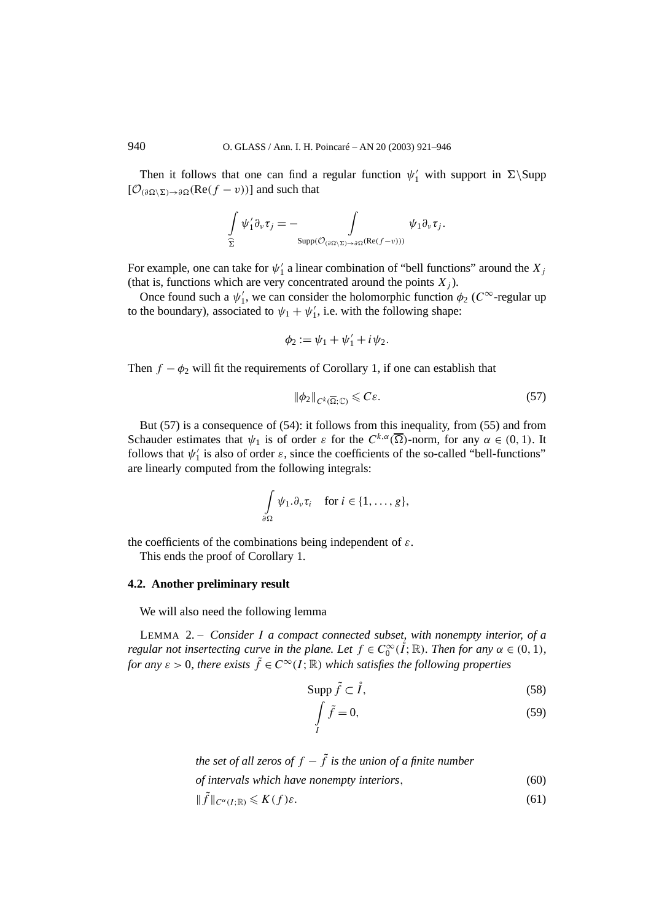Then it follows that one can find a regular function  $\psi'_1$  with support in  $\Sigma \$  $[\mathcal{O}_{(\partial \Omega \setminus \Sigma) \to \partial \Omega}(\text{Re}(f - v))]$  and such that

$$
\int_{\widehat{\Sigma}} \psi'_1 \partial_\nu \tau_j = - \int_{\text{Supp}(\mathcal{O}_{(\partial \Omega \setminus \Sigma) \to \partial \Omega} (\text{Re}(f - v)))} \psi_1 \partial_\nu \tau_j.
$$

For example, one can take for  $\psi'_1$  a linear combination of "bell functions" around the  $X_j$ (that is, functions which are very concentrated around the points  $X_i$ ).

Once found such a  $\psi'_1$ , we can consider the holomorphic function  $\phi_2$  ( $C^{\infty}$ -regular up to the boundary), associated to  $\psi_1 + \psi'_1$ , i.e. with the following shape:

$$
\phi_2:=\psi_1+\psi_1'+i\psi_2.
$$

Then  $f - \phi_2$  will fit the requirements of Corollary 1, if one can establish that

$$
\|\phi_2\|_{C^k(\overline{\Omega};\mathbb{C})} \leqslant C\varepsilon. \tag{57}
$$

But (57) is a consequence of (54): it follows from this inequality, from (55) and from Schauder estimates that  $\psi_1$  is of order *ε* for the  $C^{k,\alpha}(\overline{\Omega})$ -norm, for any  $\alpha \in (0,1)$ . It follows that  $\psi'_1$  is also of order  $\varepsilon$ , since the coefficients of the so-called "bell-functions" are linearly computed from the following integrals:

$$
\int_{\partial\Omega} \psi_1 \cdot \partial_\nu \tau_i \quad \text{ for } i \in \{1, \ldots, g\},
$$

the coefficients of the combinations being independent of *ε*.

This ends the proof of Corollary 1.

#### **4.2. Another preliminary result**

We will also need the following lemma

LEMMA 2. – *Consider I a compact connected subset, with nonempty interior, of a regular not insertecting curve in the plane. Let*  $f \in C_0^{\infty}(\hat{I}; \mathbb{R})$ *. Then for any*  $\alpha \in (0, 1)$ *, for any*  $\varepsilon > 0$ *, there exists*  $\tilde{f} \in C^{\infty}(I;\mathbb{R})$  *which satisfies the following properties* 

$$
\text{Supp}\,\tilde{f}\subset\mathring{I},\tag{58}
$$

$$
\int_{I} \tilde{f} = 0,\tag{59}
$$

*the set of all zeros of*  $f - \tilde{f}$  *is the union of a finite number* 

*of intervals which have nonempty interiors,* (60)

$$
\|\tilde{f}\|_{C^{\alpha}(I;\mathbb{R})} \leqslant K(f)\varepsilon. \tag{61}
$$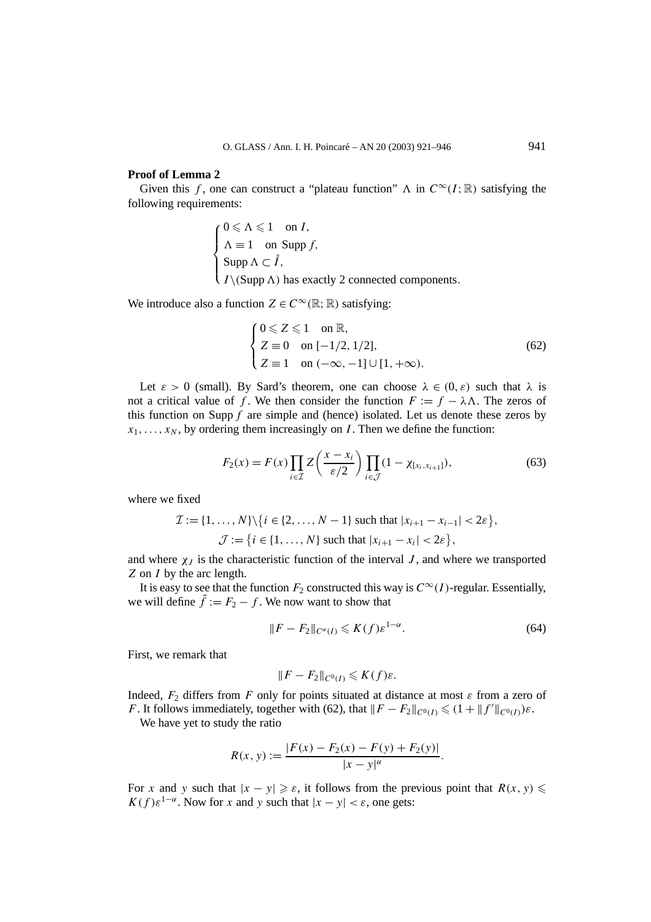#### **Proof of Lemma 2**

Given this *f*, one can construct a "plateau function"  $\Lambda$  in  $C^{\infty}(I;\mathbb{R})$  satisfying the following requirements:

$$
\begin{cases}\n0 \leq \Lambda \leq 1 & \text{on } I, \\
\Lambda \equiv 1 & \text{on } \text{Supp } f, \\
\text{Supp }\Lambda \subset \mathring{I}, \\
I \setminus (\text{Supp }\Lambda) & \text{has exactly } 2 \text{ connected components.} \n\end{cases}
$$

We introduce also a function  $Z \in C^{\infty}(\mathbb{R}; \mathbb{R})$  satisfying:

$$
\begin{cases}\n0 \le Z \le 1 & \text{on } \mathbb{R}, \\
Z \equiv 0 & \text{on } [-1/2, 1/2], \\
Z \equiv 1 & \text{on } (-\infty, -1] \cup [1, +\infty).\n\end{cases} (62)
$$

Let  $\varepsilon > 0$  (small). By Sard's theorem, one can choose  $\lambda \in (0, \varepsilon)$  such that  $\lambda$  is not a critical value of *f*. We then consider the function  $F := f - \lambda \Lambda$ . The zeros of this function on Supp *f* are simple and (hence) isolated. Let us denote these zeros by  $x_1, \ldots, x_N$ , by ordering them increasingly on *I*. Then we define the function:

$$
F_2(x) = F(x) \prod_{i \in \mathcal{I}} Z\left(\frac{x - x_i}{\varepsilon/2}\right) \prod_{i \in \mathcal{J}} (1 - \chi_{[x_i, x_{i+1}]})
$$
\n<sup>(63)</sup>

where we fixed

$$
\mathcal{I} := \{1, ..., N\} \setminus \{i \in \{2, ..., N-1\} \text{ such that } |x_{i+1} - x_{i-1}| < 2\varepsilon\},
$$
\n
$$
\mathcal{J} := \{i \in \{1, ..., N\} \text{ such that } |x_{i+1} - x_i| < 2\varepsilon\},
$$

and where  $\chi_J$  is the characteristic function of the interval *J*, and where we transported *Z* on *I* by the arc length.

It is easy to see that the function  $F_2$  constructed this way is  $C^{\infty}(I)$ -regular. Essentially, we will define  $\tilde{f} := F_2 - f$ . We now want to show that

$$
||F - F_2||_{C^{\alpha}(I)} \leqslant K(f)\varepsilon^{1-\alpha}.
$$
\n(64)

First, we remark that

$$
||F - F_2||_{C^0(I)} \leqslant K(f)\varepsilon.
$$

Indeed,  $F_2$  differs from *F* only for points situated at distance at most  $\varepsilon$  from a zero of *F*. It follows immediately, together with (62), that  $||F - F_2||_{C^0(I)} \le (1 + ||f'||_{C^0(I)})\varepsilon$ .

We have yet to study the ratio

$$
R(x, y) := \frac{|F(x) - F_2(x) - F(y) + F_2(y)|}{|x - y|^{\alpha}}.
$$

For *x* and *y* such that  $|x - y| \ge \varepsilon$ , it follows from the previous point that  $R(x, y) \le$  $K(f) \varepsilon^{1-\alpha}$ . Now for *x* and *y* such that  $|x - y| < \varepsilon$ , one gets: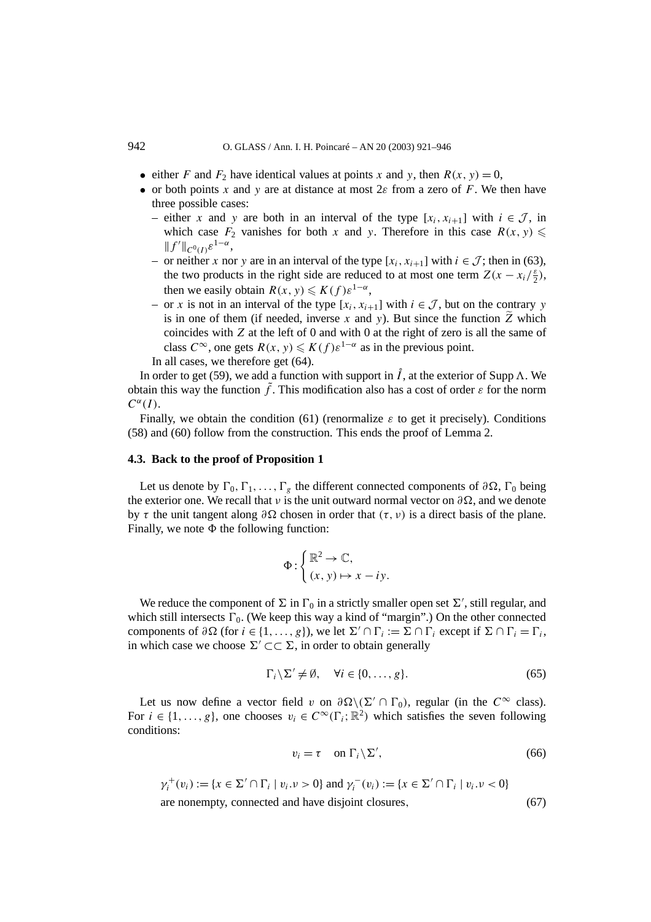- either *F* and  $F_2$  have identical values at points *x* and *y*, then  $R(x, y) = 0$ ,
- or both points *x* and *y* are at distance at most 2*ε* from a zero of *F*. We then have three possible cases:
	- either *x* and *y* are both in an interval of the type  $[x_i, x_{i+1}]$  with  $i \in \mathcal{J}$ , in which case  $F_2$  vanishes for both *x* and *y*. Therefore in this case  $R(x, y) \leq$  $||f'||_{C^0(I)} \varepsilon^{1-\alpha}$ ,
	- or neither *x* nor *y* are in an interval of the type  $[x_i, x_{i+1}]$  with *i* ∈  $\mathcal{J}$ ; then in (63), the two products in the right side are reduced to at most one term  $Z(x - x_i/\frac{\varepsilon}{2})$ , then we easily obtain  $R(x, y) \leq K(f) \varepsilon^{1-\alpha}$ ,
	- or *x* is not in an interval of the type  $[x_i, x_{i+1}]$  with  $i \in \mathcal{J}$ , but on the contrary *y* is in one of them (if needed, inverse x and y). But since the function  $\tilde{Z}$  which coincides with *Z* at the left of 0 and with 0 at the right of zero is all the same of class  $C^{\infty}$ , one gets  $R(x, y) \leq K(f) \varepsilon^{1-\alpha}$  as in the previous point. In all cases, we therefore get (64).

In order to get (59), we add a function with support in  $\mathring{I}$ , at the exterior of Supp  $\Lambda$ . We obtain this way the function  $\hat{f}$ . This modification also has a cost of order  $\varepsilon$  for the norm  $C^{\alpha}(I)$ .

Finally, we obtain the condition (61) (renormalize  $\varepsilon$  to get it precisely). Conditions (58) and (60) follow from the construction. This ends the proof of Lemma 2.

#### **4.3. Back to the proof of Proposition 1**

Let us denote by  $\Gamma_0, \Gamma_1, \ldots, \Gamma_g$  the different connected components of  $\partial \Omega$ ,  $\Gamma_0$  being the exterior one. We recall that *ν* is the unit outward normal vector on  $\partial \Omega$ , and we denote by *τ* the unit tangent along  $\partial \Omega$  chosen in order that  $(\tau, \nu)$  is a direct basis of the plane. Finally, we note  $\Phi$  the following function:

$$
\Phi: \begin{cases} \mathbb{R}^2 \to \mathbb{C}, \\ (x, y) \mapsto x - iy. \end{cases}
$$

We reduce the component of  $\Sigma$  in  $\Gamma_0$  in a strictly smaller open set  $\Sigma'$ , still regular, and which still intersects  $\Gamma_0$ . (We keep this way a kind of "margin".) On the other connected components of  $\partial \Omega$  (for  $i \in \{1, ..., g\}$ ), we let  $\Sigma' \cap \Gamma_i := \Sigma \cap \Gamma_i$  except if  $\Sigma \cap \Gamma_i = \Gamma_i$ , in which case we choose  $\Sigma' \subset \subset \Sigma$ , in order to obtain generally

$$
\Gamma_i \backslash \Sigma' \neq \emptyset, \quad \forall i \in \{0, \dots, g\}.
$$
\n
$$
(65)
$$

Let us now define a vector field *v* on  $\partial \Omega \setminus (\Sigma' \cap \Gamma_0)$ , regular (in the  $C^{\infty}$  class). For  $i \in \{1, \ldots, g\}$ , one chooses  $v_i \in C^\infty(\Gamma_i; \mathbb{R}^2)$  which satisfies the seven following conditions:

$$
v_i = \tau \quad \text{on } \Gamma_i \backslash \Sigma', \tag{66}
$$

$$
\gamma_i^+(v_i) := \{ x \in \Sigma' \cap \Gamma_i \mid v_i . v > 0 \} \text{ and } \gamma_i^-(v_i) := \{ x \in \Sigma' \cap \Gamma_i \mid v_i . v < 0 \}
$$
  
are nonempty, connected and have disjoint closures, (67)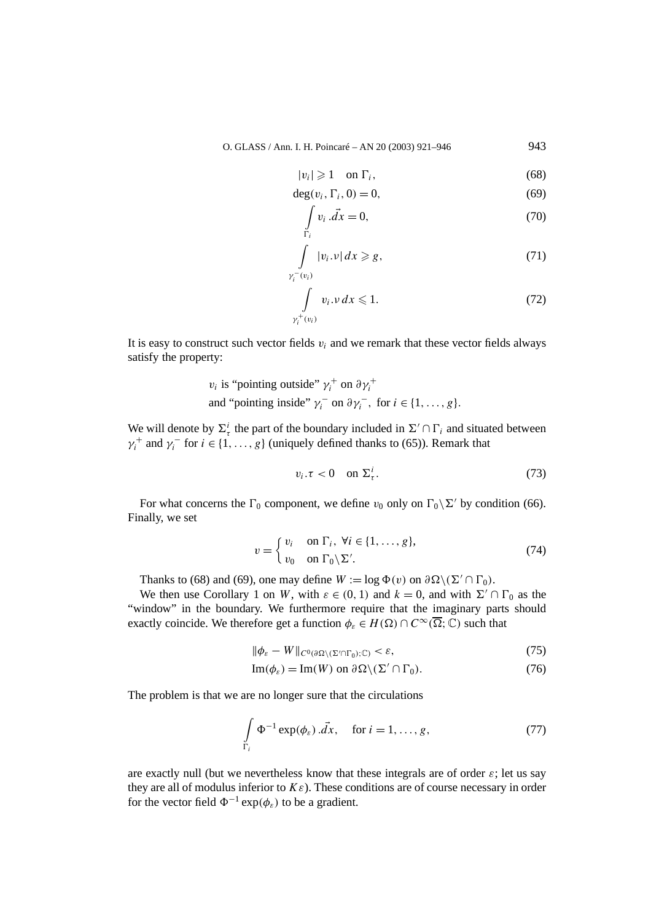$$
|v_i| \geqslant 1 \quad \text{on } \Gamma_i,\tag{68}
$$

$$
\deg(v_i, \Gamma_i, 0) = 0,\tag{69}
$$

$$
\int_{\Gamma_i} v_i \cdot \vec{dx} = 0,\tag{70}
$$

$$
\int_{\gamma_i^-(v_i)} |v_i \cdot v| \, dx \ge g,\tag{71}
$$

$$
\int\limits_{\gamma_i^+(v_i)} v_i \cdot \nu \, dx \leqslant 1. \tag{72}
$$

It is easy to construct such vector fields  $v_i$  and we remark that these vector fields always satisfy the property:

$$
v_i
$$
 is "pointing outside"  $\gamma_i^+$  on  $\partial \gamma_i^+$   
and "pointing inside"  $\gamma_i^-$  on  $\partial \gamma_i^-$ , for  $i \in \{1, ..., g\}$ .

We will denote by  $\Sigma^i_\tau$  the part of the boundary included in  $\Sigma' \cap \Gamma_i$  and situated between  $\gamma_i^+$  and  $\gamma_i^-$  for  $i \in \{1, ..., g\}$  (uniquely defined thanks to (65)). Remark that

$$
v_i.\tau < 0 \quad \text{on } \Sigma^i_\tau. \tag{73}
$$

For what concerns the  $\Gamma_0$  component, we define  $v_0$  only on  $\Gamma_0 \backslash \Sigma'$  by condition (66). Finally, we set

$$
v = \begin{cases} v_i & \text{on } \Gamma_i, \ \forall i \in \{1, \dots, g\}, \\ v_0 & \text{on } \Gamma_0 \setminus \Sigma'. \end{cases}
$$
 (74)

Thanks to (68) and (69), one may define  $W := \log \Phi(v)$  on  $\partial \Omega \setminus (\Sigma' \cap \Gamma_0)$ .

We then use Corollary 1 on *W*, with  $\varepsilon \in (0, 1)$  and  $k = 0$ , and with  $\Sigma' \cap \Gamma_0$  as the "window" in the boundary. We furthermore require that the imaginary parts should exactly coincide. We therefore get a function  $\phi_{\varepsilon} \in H(\Omega) \cap C^{\infty}(\overline{\Omega}; \mathbb{C})$  such that

$$
\|\phi_{\varepsilon} - W\|_{C^0(\partial\Omega \setminus (\Sigma' \cap \Gamma_0); \mathbb{C})} < \varepsilon,\tag{75}
$$

$$
\operatorname{Im}(\phi_{\varepsilon}) = \operatorname{Im}(W) \text{ on } \partial \Omega \setminus (\Sigma' \cap \Gamma_0). \tag{76}
$$

The problem is that we are no longer sure that the circulations

$$
\int_{\Gamma_i} \Phi^{-1} \exp(\phi_{\varepsilon}) \cdot \vec{dx}, \quad \text{for } i = 1, \dots, g,
$$
\n(77)

are exactly null (but we nevertheless know that these integrals are of order *ε*; let us say they are all of modulus inferior to *Kε*). These conditions are of course necessary in order for the vector field  $\Phi^{-1}$  exp $(\phi_{\varepsilon})$  to be a gradient.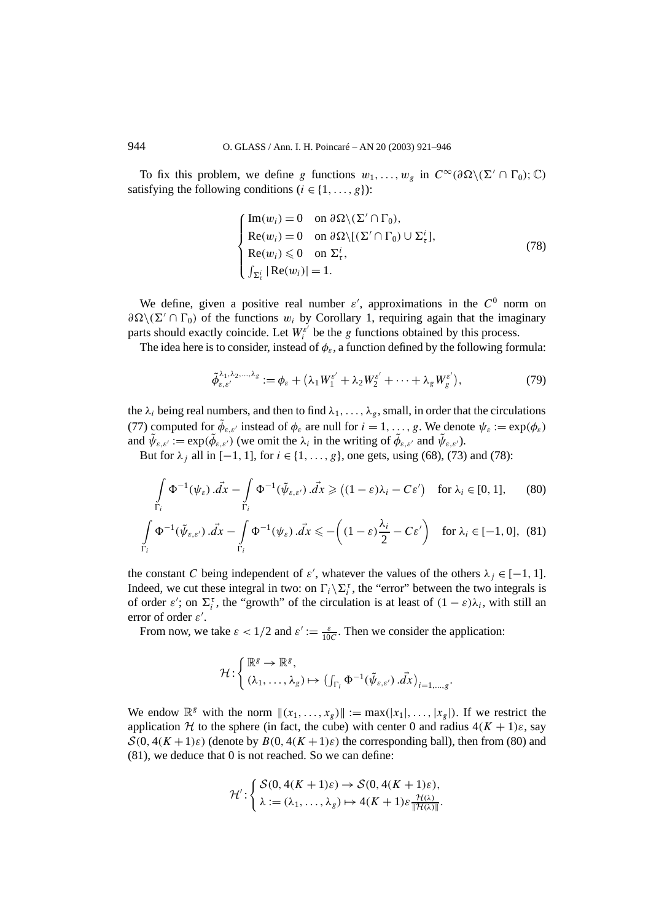To fix this problem, we define *g* functions  $w_1, \ldots, w_g$  in  $C^\infty(\partial \Omega \setminus (\Sigma' \cap \Gamma_0); \mathbb{C})$ satisfying the following conditions  $(i \in \{1, ..., g\})$ :

$$
\begin{cases}\n\operatorname{Im}(w_i) = 0 & \text{on } \partial \Omega \setminus (\Sigma' \cap \Gamma_0), \\
\operatorname{Re}(w_i) = 0 & \text{on } \partial \Omega \setminus [(\Sigma' \cap \Gamma_0) \cup \Sigma_t^i], \\
\operatorname{Re}(w_i) \leq 0 & \text{on } \Sigma_t^i, \\
\int_{\Sigma_t^i} |\operatorname{Re}(w_i)| = 1.\n\end{cases} \tag{78}
$$

We define, given a positive real number  $\varepsilon'$ , approximations in the  $C^0$  norm on  $\partial \Omega \setminus (\Sigma' \cap \Gamma_0)$  of the functions *w<sub>i</sub>* by Corollary 1, requiring again that the imaginary parts should exactly coincide. Let  $W_i^{\varepsilon'}$  be the *g* functions obtained by this process.

The idea here is to consider, instead of  $\phi_{\varepsilon}$ , a function defined by the following formula:

$$
\tilde{\phi}_{\varepsilon,\varepsilon'}^{\lambda_1,\lambda_2,\ldots,\lambda_g} := \phi_{\varepsilon} + (\lambda_1 W_1^{\varepsilon'} + \lambda_2 W_2^{\varepsilon'} + \cdots + \lambda_g W_g^{\varepsilon'}),\tag{79}
$$

the  $\lambda_i$  being real numbers, and then to find  $\lambda_1, \ldots, \lambda_g$ , small, in order that the circulations (77) computed for  $\tilde{\phi}_{\varepsilon,\varepsilon'}$  instead of  $\phi_{\varepsilon}$  are null for  $i = 1, \ldots, g$ . We denote  $\psi_{\varepsilon} := \exp(\phi_{\varepsilon})$ and  $\tilde{\psi}_{\varepsilon,\varepsilon'} := \exp(\tilde{\phi}_{\varepsilon,\varepsilon'})$  (we omit the  $\lambda_i$  in the writing of  $\tilde{\phi}_{\varepsilon,\varepsilon'}$  and  $\tilde{\psi}_{\varepsilon,\varepsilon'}$ ).

But for  $\lambda_j$  all in [−1, 1], for  $i \in \{1, ..., g\}$ , one gets, using (68), (73) and (78):

$$
\int_{\Gamma_i} \Phi^{-1}(\psi_{\varepsilon}) \cdot \vec{dx} - \int_{\Gamma_i} \Phi^{-1}(\tilde{\psi}_{\varepsilon,\varepsilon'}) \cdot \vec{dx} \geq ( (1 - \varepsilon)\lambda_i - C\varepsilon') \quad \text{for } \lambda_i \in [0, 1], \tag{80}
$$

$$
\int_{\Gamma_i} \Phi^{-1}(\tilde{\psi}_{\varepsilon,\varepsilon'}) \cdot \vec{dx} - \int_{\Gamma_i} \Phi^{-1}(\psi_{\varepsilon}) \cdot \vec{dx} \leqslant -\left( (1-\varepsilon) \frac{\lambda_i}{2} - C\varepsilon' \right) \quad \text{for } \lambda_i \in [-1,0], \tag{81}
$$

the constant *C* being independent of  $\varepsilon'$ , whatever the values of the others  $\lambda_j \in [-1, 1]$ . Indeed, we cut these integral in two: on  $\Gamma_i \backslash \Sigma_i^{\tau}$ , the "error" between the two integrals is of order *ε'*; on  $\Sigma_i^{\tau}$ , the "growth" of the circulation is at least of  $(1 - \varepsilon)\lambda_i$ , with still an error of order *ε* .

From now, we take  $\varepsilon < 1/2$  and  $\varepsilon' := \frac{\varepsilon}{10C}$ . Then we consider the application:

$$
\mathcal{H}: \begin{cases} \mathbb{R}^g \to \mathbb{R}^g, \\ (\lambda_1, \ldots, \lambda_g) \mapsto \left( \int_{\Gamma_i} \Phi^{-1}(\tilde{\psi}_{\varepsilon, \varepsilon'}) \, d\vec{x} \right)_{i=1, \ldots, g}. \end{cases}
$$

We endow  $\mathbb{R}^g$  with the norm  $\|(x_1, \ldots, x_g)\| := \max(|x_1|, \ldots, |x_g|)$ . If we restrict the application H to the sphere (in fact, the cube) with center 0 and radius  $4(K + 1)\varepsilon$ , say  $S(0, 4(K+1)\varepsilon)$  (denote by  $B(0, 4(K+1)\varepsilon)$ ) the corresponding ball), then from (80) and (81), we deduce that 0 is not reached. So we can define:

$$
\mathcal{H}'\colon \begin{cases} \mathcal{S}(0, 4(K+1)\varepsilon) \to \mathcal{S}(0, 4(K+1)\varepsilon), \\ \lambda := (\lambda_1, \dots, \lambda_g) \mapsto 4(K+1)\varepsilon \frac{\mathcal{H}(\lambda)}{\|\mathcal{H}(\lambda)\|}.\end{cases}
$$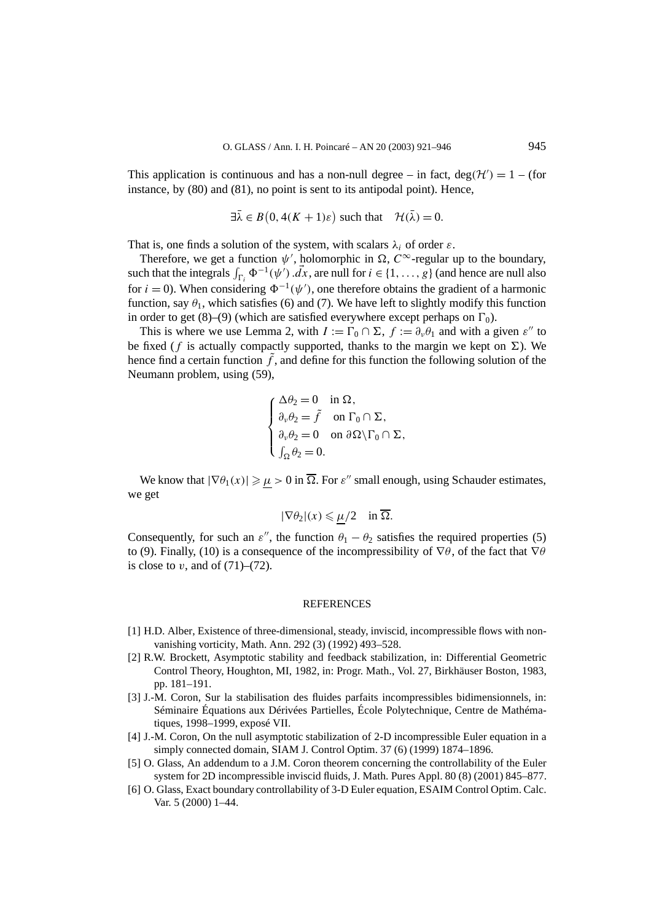This application is continuous and has a non-null degree – in fact, deg( $H'$ ) = 1 – (for instance, by (80) and (81), no point is sent to its antipodal point). Hence,

$$
\exists \bar{\lambda} \in B(0, 4(K+1)\varepsilon) \text{ such that } \mathcal{H}(\bar{\lambda}) = 0.
$$

That is, one finds a solution of the system, with scalars  $\lambda_i$  of order  $\varepsilon$ .

Therefore, we get a function  $\psi'$ , holomorphic in  $\Omega$ ,  $C^{\infty}$ -regular up to the boundary, such that the integrals  $\int_{\Gamma_i} \Phi^{-1}(\psi') \cdot \vec{dx}$ , are null for  $i \in \{1, \ldots, g\}$  (and hence are null also for  $i = 0$ ). When considering  $\Phi^{-1}(\psi')$ , one therefore obtains the gradient of a harmonic function, say  $\theta_1$ , which satisfies (6) and (7). We have left to slightly modify this function in order to get  $(8)$ – $(9)$  (which are satisfied everywhere except perhaps on  $\Gamma_0$ ).

This is where we use Lemma 2, with  $I := \Gamma_0 \cap \Sigma$ ,  $f := \partial_\nu \theta_1$  and with a given  $\varepsilon''$  to be fixed ( $f$  is actually compactly supported, thanks to the margin we kept on  $\Sigma$ ). We hence find a certain function  $\hat{f}$ , and define for this function the following solution of the Neumann problem, using (59),

$$
\begin{cases} \Delta \theta_2 = 0 & \text{in } \Omega, \\ \partial_{\nu} \theta_2 = \tilde{f} & \text{on } \Gamma_0 \cap \Sigma, \\ \partial_{\nu} \theta_2 = 0 & \text{on } \partial \Omega \setminus \Gamma_0 \cap \Sigma, \\ \int_{\Omega} \theta_2 = 0. \end{cases}
$$

We know that  $|\nabla \theta_1(x)| \ge \mu > 0$  in  $\overline{\Omega}$ . For  $\varepsilon''$  small enough, using Schauder estimates, we get

$$
|\nabla \theta_2|(x) \leqslant \mu/2 \quad \text{in } \overline{\Omega}.
$$

Consequently, for such an  $\varepsilon''$ , the function  $\theta_1 - \theta_2$  satisfies the required properties (5) to (9). Finally, (10) is a consequence of the incompressibility of  $\nabla \theta$ , of the fact that  $\nabla \theta$ is close to  $v$ , and of  $(71)$ – $(72)$ .

#### **REFERENCES**

- [1] H.D. Alber, Existence of three-dimensional, steady, inviscid, incompressible flows with nonvanishing vorticity, Math. Ann. 292 (3) (1992) 493–528.
- [2] R.W. Brockett, Asymptotic stability and feedback stabilization, in: Differential Geometric Control Theory, Houghton, MI, 1982, in: Progr. Math., Vol. 27, Birkhäuser Boston, 1983, pp. 181–191.
- [3] J.-M. Coron, Sur la stabilisation des fluides parfaits incompressibles bidimensionnels, in: Séminaire Équations aux Dérivées Partielles, École Polytechnique, Centre de Mathématiques, 1998–1999, exposé VII.
- [4] J.-M. Coron, On the null asymptotic stabilization of 2-D incompressible Euler equation in a simply connected domain, SIAM J. Control Optim. 37 (6) (1999) 1874–1896.
- [5] O. Glass, An addendum to a J.M. Coron theorem concerning the controllability of the Euler system for 2D incompressible inviscid fluids, J. Math. Pures Appl. 80 (8) (2001) 845–877.
- [6] O. Glass, Exact boundary controllability of 3-D Euler equation, ESAIM Control Optim. Calc. Var. 5 (2000) 1–44.